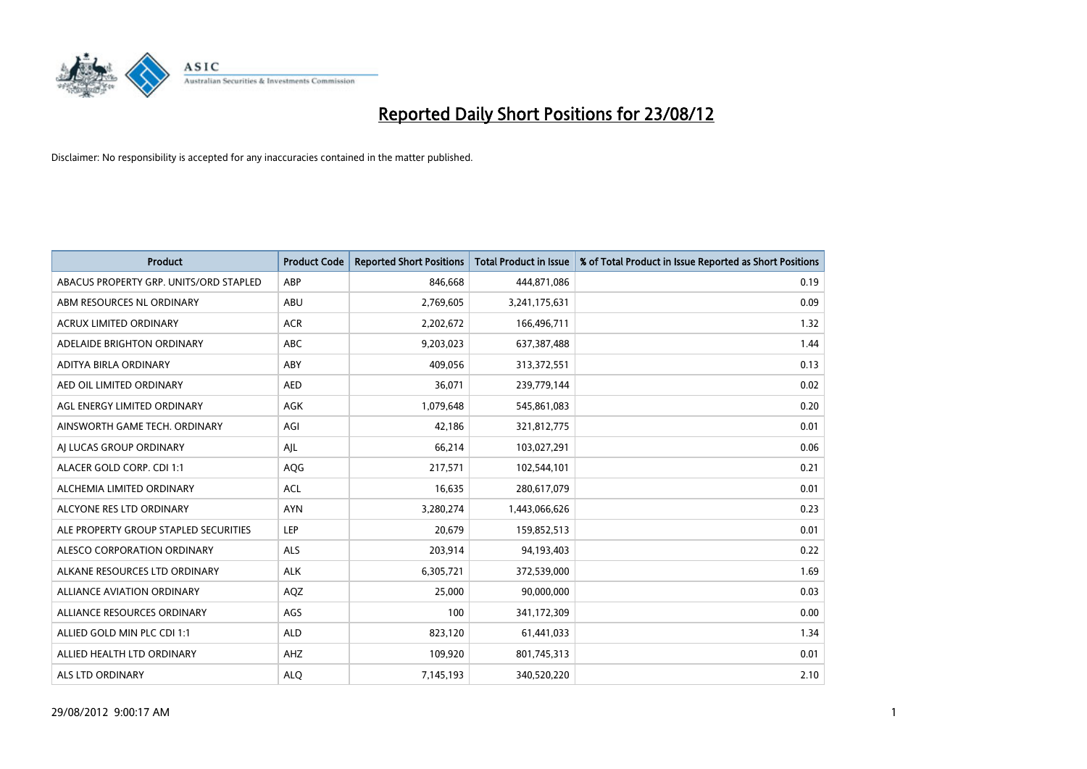

| <b>Product</b>                         | <b>Product Code</b> | <b>Reported Short Positions</b> | <b>Total Product in Issue</b> | % of Total Product in Issue Reported as Short Positions |
|----------------------------------------|---------------------|---------------------------------|-------------------------------|---------------------------------------------------------|
| ABACUS PROPERTY GRP. UNITS/ORD STAPLED | ABP                 | 846,668                         | 444,871,086                   | 0.19                                                    |
| ABM RESOURCES NL ORDINARY              | ABU                 | 2,769,605                       | 3,241,175,631                 | 0.09                                                    |
| <b>ACRUX LIMITED ORDINARY</b>          | <b>ACR</b>          | 2,202,672                       | 166,496,711                   | 1.32                                                    |
| ADELAIDE BRIGHTON ORDINARY             | <b>ABC</b>          | 9,203,023                       | 637,387,488                   | 1.44                                                    |
| <b>ADITYA BIRLA ORDINARY</b>           | ABY                 | 409.056                         | 313,372,551                   | 0.13                                                    |
| AED OIL LIMITED ORDINARY               | <b>AED</b>          | 36,071                          | 239,779,144                   | 0.02                                                    |
| AGL ENERGY LIMITED ORDINARY            | AGK                 | 1,079,648                       | 545,861,083                   | 0.20                                                    |
| AINSWORTH GAME TECH. ORDINARY          | AGI                 | 42,186                          | 321,812,775                   | 0.01                                                    |
| AI LUCAS GROUP ORDINARY                | AJL                 | 66,214                          | 103,027,291                   | 0.06                                                    |
| ALACER GOLD CORP. CDI 1:1              | AQG                 | 217,571                         | 102,544,101                   | 0.21                                                    |
| ALCHEMIA LIMITED ORDINARY              | <b>ACL</b>          | 16,635                          | 280,617,079                   | 0.01                                                    |
| ALCYONE RES LTD ORDINARY               | <b>AYN</b>          | 3,280,274                       | 1,443,066,626                 | 0.23                                                    |
| ALE PROPERTY GROUP STAPLED SECURITIES  | LEP                 | 20,679                          | 159,852,513                   | 0.01                                                    |
| <b>ALESCO CORPORATION ORDINARY</b>     | <b>ALS</b>          | 203,914                         | 94,193,403                    | 0.22                                                    |
| ALKANE RESOURCES LTD ORDINARY          | <b>ALK</b>          | 6,305,721                       | 372,539,000                   | 1.69                                                    |
| ALLIANCE AVIATION ORDINARY             | AQZ                 | 25,000                          | 90,000,000                    | 0.03                                                    |
| ALLIANCE RESOURCES ORDINARY            | AGS                 | 100                             | 341,172,309                   | 0.00                                                    |
| ALLIED GOLD MIN PLC CDI 1:1            | <b>ALD</b>          | 823,120                         | 61,441,033                    | 1.34                                                    |
| ALLIED HEALTH LTD ORDINARY             | AHZ                 | 109,920                         | 801,745,313                   | 0.01                                                    |
| <b>ALS LTD ORDINARY</b>                | <b>ALO</b>          | 7,145,193                       | 340.520.220                   | 2.10                                                    |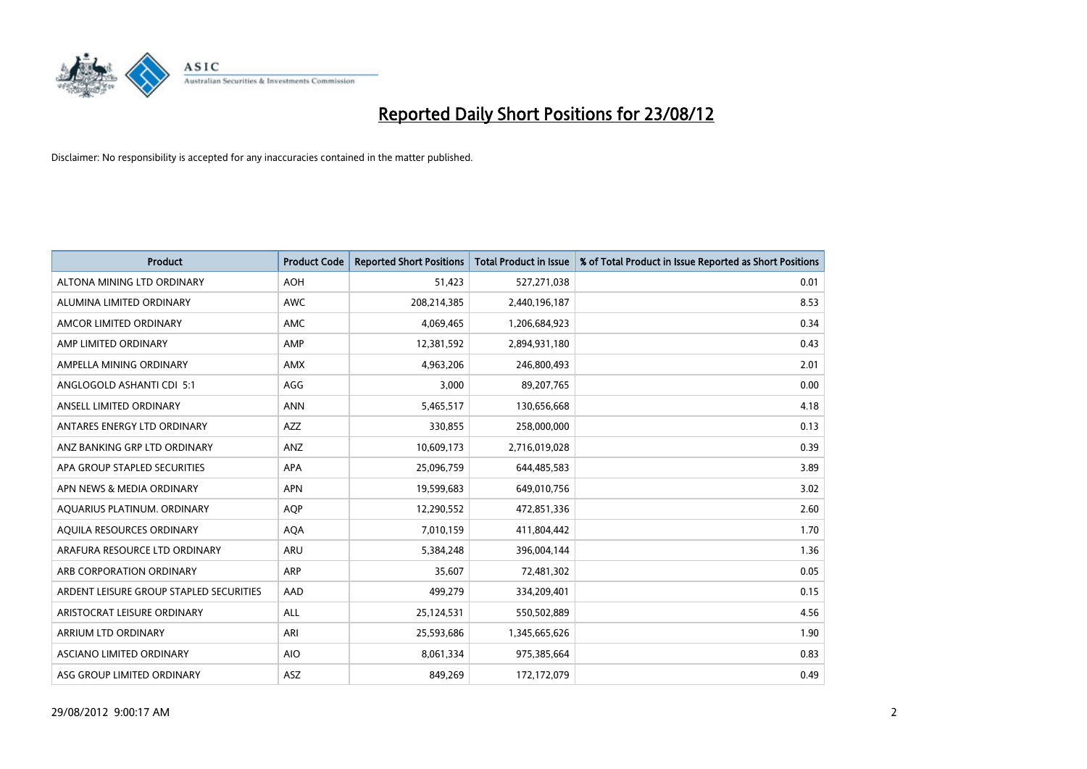

| <b>Product</b>                          | <b>Product Code</b> | <b>Reported Short Positions</b> | <b>Total Product in Issue</b> | % of Total Product in Issue Reported as Short Positions |
|-----------------------------------------|---------------------|---------------------------------|-------------------------------|---------------------------------------------------------|
| ALTONA MINING LTD ORDINARY              | <b>AOH</b>          | 51,423                          | 527,271,038                   | 0.01                                                    |
| ALUMINA LIMITED ORDINARY                | <b>AWC</b>          | 208,214,385                     | 2,440,196,187                 | 8.53                                                    |
| AMCOR LIMITED ORDINARY                  | AMC                 | 4,069,465                       | 1,206,684,923                 | 0.34                                                    |
| AMP LIMITED ORDINARY                    | AMP                 | 12,381,592                      | 2,894,931,180                 | 0.43                                                    |
| AMPELLA MINING ORDINARY                 | <b>AMX</b>          | 4,963,206                       | 246,800,493                   | 2.01                                                    |
| ANGLOGOLD ASHANTI CDI 5:1               | AGG                 | 3,000                           | 89,207,765                    | 0.00                                                    |
| ANSELL LIMITED ORDINARY                 | <b>ANN</b>          | 5,465,517                       | 130,656,668                   | 4.18                                                    |
| ANTARES ENERGY LTD ORDINARY             | <b>AZZ</b>          | 330,855                         | 258,000,000                   | 0.13                                                    |
| ANZ BANKING GRP LTD ORDINARY            | ANZ                 | 10,609,173                      | 2,716,019,028                 | 0.39                                                    |
| APA GROUP STAPLED SECURITIES            | <b>APA</b>          | 25,096,759                      | 644,485,583                   | 3.89                                                    |
| APN NEWS & MEDIA ORDINARY               | <b>APN</b>          | 19,599,683                      | 649,010,756                   | 3.02                                                    |
| AQUARIUS PLATINUM. ORDINARY             | <b>AQP</b>          | 12,290,552                      | 472,851,336                   | 2.60                                                    |
| AQUILA RESOURCES ORDINARY               | <b>AQA</b>          | 7,010,159                       | 411,804,442                   | 1.70                                                    |
| ARAFURA RESOURCE LTD ORDINARY           | ARU                 | 5,384,248                       | 396,004,144                   | 1.36                                                    |
| ARB CORPORATION ORDINARY                | ARP                 | 35,607                          | 72,481,302                    | 0.05                                                    |
| ARDENT LEISURE GROUP STAPLED SECURITIES | AAD                 | 499,279                         | 334,209,401                   | 0.15                                                    |
| ARISTOCRAT LEISURE ORDINARY             | <b>ALL</b>          | 25,124,531                      | 550,502,889                   | 4.56                                                    |
| ARRIUM LTD ORDINARY                     | ARI                 | 25,593,686                      | 1,345,665,626                 | 1.90                                                    |
| <b>ASCIANO LIMITED ORDINARY</b>         | <b>AIO</b>          | 8,061,334                       | 975,385,664                   | 0.83                                                    |
| ASG GROUP LIMITED ORDINARY              | <b>ASZ</b>          | 849.269                         | 172,172,079                   | 0.49                                                    |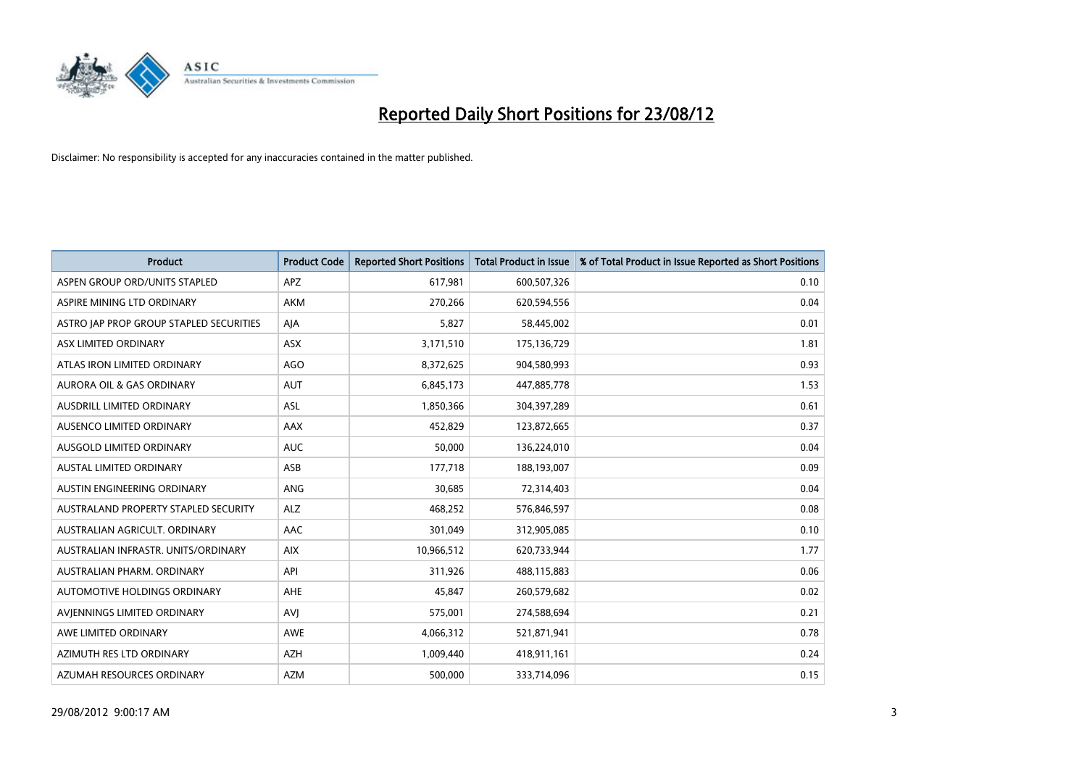

| <b>Product</b>                              | <b>Product Code</b> | <b>Reported Short Positions</b> | <b>Total Product in Issue</b> | % of Total Product in Issue Reported as Short Positions |
|---------------------------------------------|---------------------|---------------------------------|-------------------------------|---------------------------------------------------------|
| ASPEN GROUP ORD/UNITS STAPLED               | <b>APZ</b>          | 617,981                         | 600,507,326                   | 0.10                                                    |
| ASPIRE MINING LTD ORDINARY                  | <b>AKM</b>          | 270,266                         | 620,594,556                   | 0.04                                                    |
| ASTRO JAP PROP GROUP STAPLED SECURITIES     | AJA                 | 5,827                           | 58,445,002                    | 0.01                                                    |
| ASX LIMITED ORDINARY                        | ASX                 | 3,171,510                       | 175,136,729                   | 1.81                                                    |
| ATLAS IRON LIMITED ORDINARY                 | AGO                 | 8,372,625                       | 904,580,993                   | 0.93                                                    |
| <b>AURORA OIL &amp; GAS ORDINARY</b>        | <b>AUT</b>          | 6,845,173                       | 447,885,778                   | 1.53                                                    |
| AUSDRILL LIMITED ORDINARY                   | <b>ASL</b>          | 1,850,366                       | 304,397,289                   | 0.61                                                    |
| AUSENCO LIMITED ORDINARY                    | AAX                 | 452,829                         | 123,872,665                   | 0.37                                                    |
| AUSGOLD LIMITED ORDINARY                    | <b>AUC</b>          | 50,000                          | 136,224,010                   | 0.04                                                    |
| <b>AUSTAL LIMITED ORDINARY</b>              | ASB                 | 177,718                         | 188,193,007                   | 0.09                                                    |
| AUSTIN ENGINEERING ORDINARY                 | ANG                 | 30,685                          | 72,314,403                    | 0.04                                                    |
| <b>AUSTRALAND PROPERTY STAPLED SECURITY</b> | <b>ALZ</b>          | 468,252                         | 576,846,597                   | 0.08                                                    |
| AUSTRALIAN AGRICULT. ORDINARY               | AAC                 | 301,049                         | 312,905,085                   | 0.10                                                    |
| AUSTRALIAN INFRASTR. UNITS/ORDINARY         | <b>AIX</b>          | 10,966,512                      | 620,733,944                   | 1.77                                                    |
| AUSTRALIAN PHARM, ORDINARY                  | API                 | 311,926                         | 488,115,883                   | 0.06                                                    |
| AUTOMOTIVE HOLDINGS ORDINARY                | AHE                 | 45,847                          | 260,579,682                   | 0.02                                                    |
| AVIENNINGS LIMITED ORDINARY                 | AVI                 | 575,001                         | 274,588,694                   | 0.21                                                    |
| AWE LIMITED ORDINARY                        | <b>AWE</b>          | 4,066,312                       | 521,871,941                   | 0.78                                                    |
| AZIMUTH RES LTD ORDINARY                    | <b>AZH</b>          | 1,009,440                       | 418,911,161                   | 0.24                                                    |
| AZUMAH RESOURCES ORDINARY                   | <b>AZM</b>          | 500,000                         | 333,714,096                   | 0.15                                                    |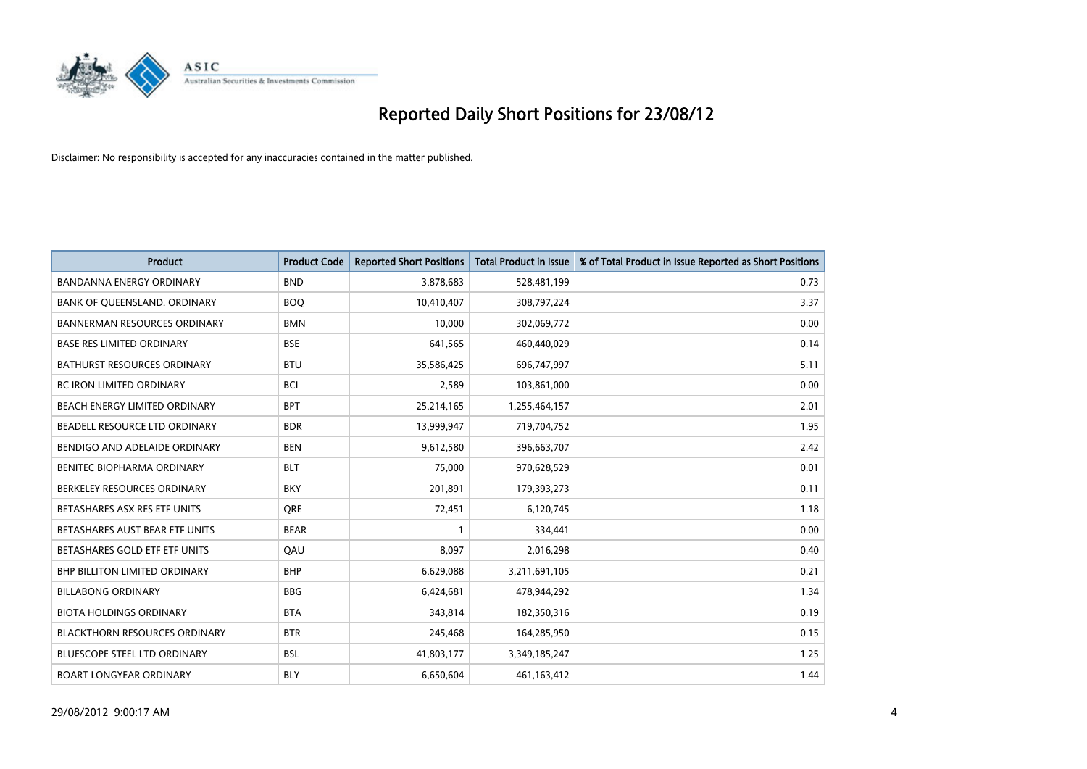

| <b>Product</b>                       | <b>Product Code</b> | <b>Reported Short Positions</b> | <b>Total Product in Issue</b> | % of Total Product in Issue Reported as Short Positions |
|--------------------------------------|---------------------|---------------------------------|-------------------------------|---------------------------------------------------------|
| <b>BANDANNA ENERGY ORDINARY</b>      | <b>BND</b>          | 3,878,683                       | 528,481,199                   | 0.73                                                    |
| BANK OF QUEENSLAND. ORDINARY         | <b>BOQ</b>          | 10,410,407                      | 308,797,224                   | 3.37                                                    |
| <b>BANNERMAN RESOURCES ORDINARY</b>  | <b>BMN</b>          | 10,000                          | 302,069,772                   | 0.00                                                    |
| <b>BASE RES LIMITED ORDINARY</b>     | <b>BSE</b>          | 641,565                         | 460,440,029                   | 0.14                                                    |
| <b>BATHURST RESOURCES ORDINARY</b>   | <b>BTU</b>          | 35,586,425                      | 696,747,997                   | 5.11                                                    |
| <b>BC IRON LIMITED ORDINARY</b>      | <b>BCI</b>          | 2,589                           | 103,861,000                   | 0.00                                                    |
| BEACH ENERGY LIMITED ORDINARY        | <b>BPT</b>          | 25,214,165                      | 1,255,464,157                 | 2.01                                                    |
| BEADELL RESOURCE LTD ORDINARY        | <b>BDR</b>          | 13,999,947                      | 719,704,752                   | 1.95                                                    |
| BENDIGO AND ADELAIDE ORDINARY        | <b>BEN</b>          | 9,612,580                       | 396,663,707                   | 2.42                                                    |
| <b>BENITEC BIOPHARMA ORDINARY</b>    | <b>BLT</b>          | 75,000                          | 970,628,529                   | 0.01                                                    |
| BERKELEY RESOURCES ORDINARY          | <b>BKY</b>          | 201,891                         | 179,393,273                   | 0.11                                                    |
| BETASHARES ASX RES ETF UNITS         | <b>ORE</b>          | 72,451                          | 6,120,745                     | 1.18                                                    |
| BETASHARES AUST BEAR ETF UNITS       | <b>BEAR</b>         | $\mathbf{1}$                    | 334,441                       | 0.00                                                    |
| BETASHARES GOLD ETF ETF UNITS        | QAU                 | 8,097                           | 2,016,298                     | 0.40                                                    |
| <b>BHP BILLITON LIMITED ORDINARY</b> | <b>BHP</b>          | 6,629,088                       | 3,211,691,105                 | 0.21                                                    |
| <b>BILLABONG ORDINARY</b>            | <b>BBG</b>          | 6,424,681                       | 478,944,292                   | 1.34                                                    |
| <b>BIOTA HOLDINGS ORDINARY</b>       | <b>BTA</b>          | 343,814                         | 182,350,316                   | 0.19                                                    |
| <b>BLACKTHORN RESOURCES ORDINARY</b> | <b>BTR</b>          | 245,468                         | 164,285,950                   | 0.15                                                    |
| BLUESCOPE STEEL LTD ORDINARY         | <b>BSL</b>          | 41,803,177                      | 3,349,185,247                 | 1.25                                                    |
| <b>BOART LONGYEAR ORDINARY</b>       | <b>BLY</b>          | 6,650,604                       | 461,163,412                   | 1.44                                                    |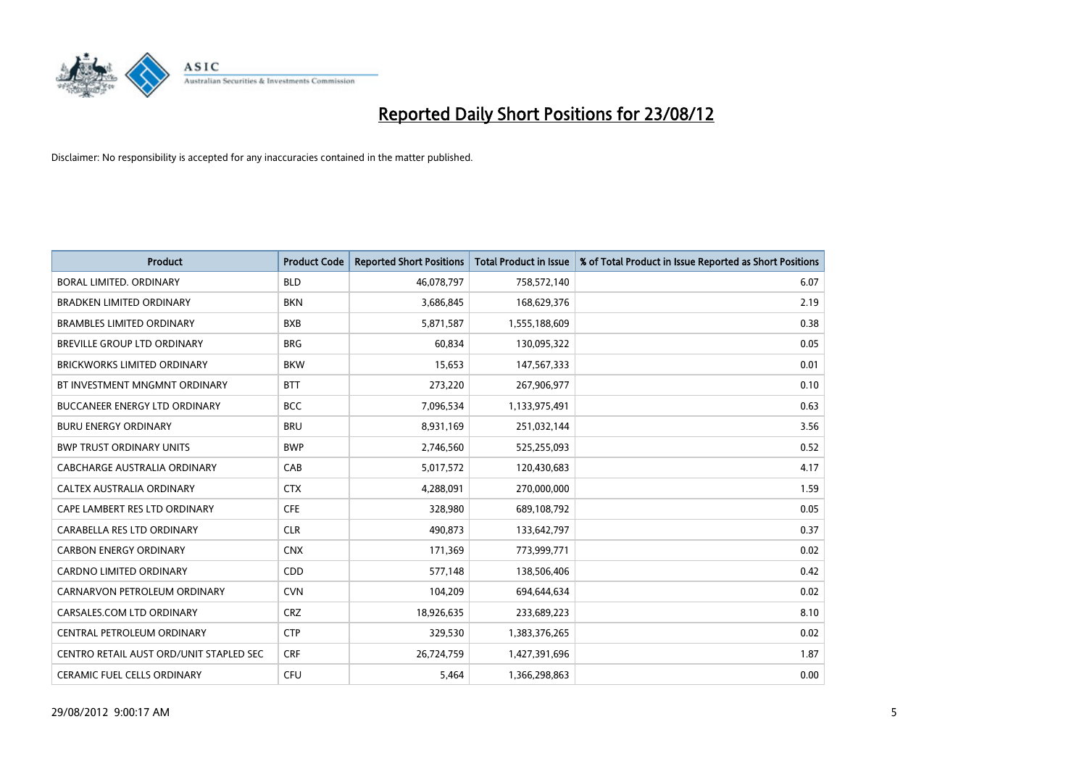

| <b>Product</b>                          | <b>Product Code</b> | <b>Reported Short Positions</b> | <b>Total Product in Issue</b> | % of Total Product in Issue Reported as Short Positions |
|-----------------------------------------|---------------------|---------------------------------|-------------------------------|---------------------------------------------------------|
| <b>BORAL LIMITED, ORDINARY</b>          | <b>BLD</b>          | 46,078,797                      | 758,572,140                   | 6.07                                                    |
| <b>BRADKEN LIMITED ORDINARY</b>         | <b>BKN</b>          | 3,686,845                       | 168,629,376                   | 2.19                                                    |
| <b>BRAMBLES LIMITED ORDINARY</b>        | <b>BXB</b>          | 5,871,587                       | 1,555,188,609                 | 0.38                                                    |
| BREVILLE GROUP LTD ORDINARY             | <b>BRG</b>          | 60,834                          | 130,095,322                   | 0.05                                                    |
| <b>BRICKWORKS LIMITED ORDINARY</b>      | <b>BKW</b>          | 15,653                          | 147,567,333                   | 0.01                                                    |
| BT INVESTMENT MNGMNT ORDINARY           | <b>BTT</b>          | 273,220                         | 267,906,977                   | 0.10                                                    |
| <b>BUCCANEER ENERGY LTD ORDINARY</b>    | <b>BCC</b>          | 7,096,534                       | 1,133,975,491                 | 0.63                                                    |
| <b>BURU ENERGY ORDINARY</b>             | <b>BRU</b>          | 8,931,169                       | 251,032,144                   | 3.56                                                    |
| <b>BWP TRUST ORDINARY UNITS</b>         | <b>BWP</b>          | 2,746,560                       | 525,255,093                   | 0.52                                                    |
| CABCHARGE AUSTRALIA ORDINARY            | CAB                 | 5,017,572                       | 120,430,683                   | 4.17                                                    |
| CALTEX AUSTRALIA ORDINARY               | <b>CTX</b>          | 4,288,091                       | 270,000,000                   | 1.59                                                    |
| CAPE LAMBERT RES LTD ORDINARY           | <b>CFE</b>          | 328,980                         | 689,108,792                   | 0.05                                                    |
| CARABELLA RES LTD ORDINARY              | <b>CLR</b>          | 490,873                         | 133,642,797                   | 0.37                                                    |
| <b>CARBON ENERGY ORDINARY</b>           | <b>CNX</b>          | 171,369                         | 773,999,771                   | 0.02                                                    |
| <b>CARDNO LIMITED ORDINARY</b>          | CD <sub>D</sub>     | 577,148                         | 138,506,406                   | 0.42                                                    |
| CARNARVON PETROLEUM ORDINARY            | <b>CVN</b>          | 104,209                         | 694,644,634                   | 0.02                                                    |
| CARSALES.COM LTD ORDINARY               | <b>CRZ</b>          | 18,926,635                      | 233,689,223                   | 8.10                                                    |
| CENTRAL PETROLEUM ORDINARY              | <b>CTP</b>          | 329,530                         | 1,383,376,265                 | 0.02                                                    |
| CENTRO RETAIL AUST ORD/UNIT STAPLED SEC | <b>CRF</b>          | 26,724,759                      | 1,427,391,696                 | 1.87                                                    |
| <b>CERAMIC FUEL CELLS ORDINARY</b>      | <b>CFU</b>          | 5.464                           | 1,366,298,863                 | 0.00                                                    |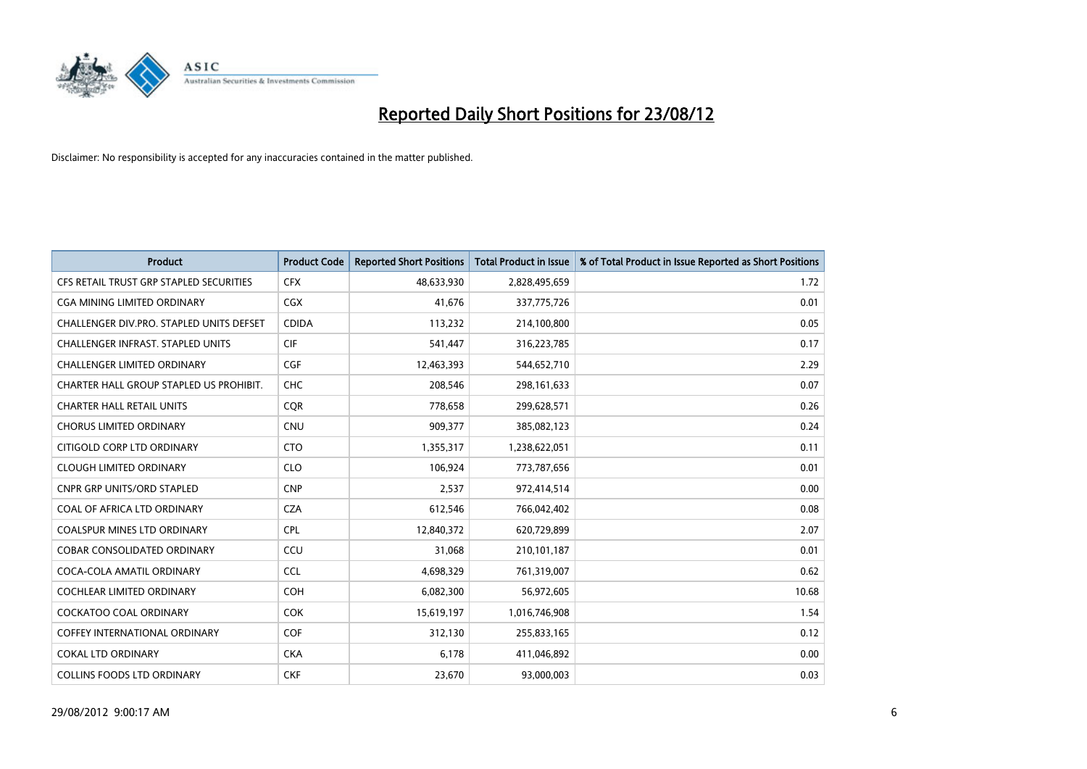

| <b>Product</b>                           | <b>Product Code</b> | <b>Reported Short Positions</b> | <b>Total Product in Issue</b> | % of Total Product in Issue Reported as Short Positions |
|------------------------------------------|---------------------|---------------------------------|-------------------------------|---------------------------------------------------------|
| CFS RETAIL TRUST GRP STAPLED SECURITIES  | <b>CFX</b>          | 48,633,930                      | 2,828,495,659                 | 1.72                                                    |
| CGA MINING LIMITED ORDINARY              | <b>CGX</b>          | 41,676                          | 337,775,726                   | 0.01                                                    |
| CHALLENGER DIV.PRO. STAPLED UNITS DEFSET | <b>CDIDA</b>        | 113,232                         | 214,100,800                   | 0.05                                                    |
| CHALLENGER INFRAST. STAPLED UNITS        | <b>CIF</b>          | 541,447                         | 316,223,785                   | 0.17                                                    |
| <b>CHALLENGER LIMITED ORDINARY</b>       | <b>CGF</b>          | 12,463,393                      | 544,652,710                   | 2.29                                                    |
| CHARTER HALL GROUP STAPLED US PROHIBIT.  | <b>CHC</b>          | 208,546                         | 298,161,633                   | 0.07                                                    |
| <b>CHARTER HALL RETAIL UNITS</b>         | <b>COR</b>          | 778,658                         | 299,628,571                   | 0.26                                                    |
| <b>CHORUS LIMITED ORDINARY</b>           | <b>CNU</b>          | 909,377                         | 385,082,123                   | 0.24                                                    |
| CITIGOLD CORP LTD ORDINARY               | <b>CTO</b>          | 1,355,317                       | 1,238,622,051                 | 0.11                                                    |
| <b>CLOUGH LIMITED ORDINARY</b>           | <b>CLO</b>          | 106,924                         | 773,787,656                   | 0.01                                                    |
| <b>CNPR GRP UNITS/ORD STAPLED</b>        | <b>CNP</b>          | 2,537                           | 972,414,514                   | 0.00                                                    |
| <b>COAL OF AFRICA LTD ORDINARY</b>       | <b>CZA</b>          | 612,546                         | 766,042,402                   | 0.08                                                    |
| COALSPUR MINES LTD ORDINARY              | <b>CPL</b>          | 12,840,372                      | 620,729,899                   | 2.07                                                    |
| <b>COBAR CONSOLIDATED ORDINARY</b>       | CCU                 | 31,068                          | 210,101,187                   | 0.01                                                    |
| COCA-COLA AMATIL ORDINARY                | <b>CCL</b>          | 4,698,329                       | 761,319,007                   | 0.62                                                    |
| COCHLEAR LIMITED ORDINARY                | <b>COH</b>          | 6,082,300                       | 56,972,605                    | 10.68                                                   |
| COCKATOO COAL ORDINARY                   | <b>COK</b>          | 15,619,197                      | 1,016,746,908                 | 1.54                                                    |
| <b>COFFEY INTERNATIONAL ORDINARY</b>     | <b>COF</b>          | 312,130                         | 255,833,165                   | 0.12                                                    |
| <b>COKAL LTD ORDINARY</b>                | <b>CKA</b>          | 6,178                           | 411,046,892                   | 0.00                                                    |
| <b>COLLINS FOODS LTD ORDINARY</b>        | <b>CKF</b>          | 23,670                          | 93,000,003                    | 0.03                                                    |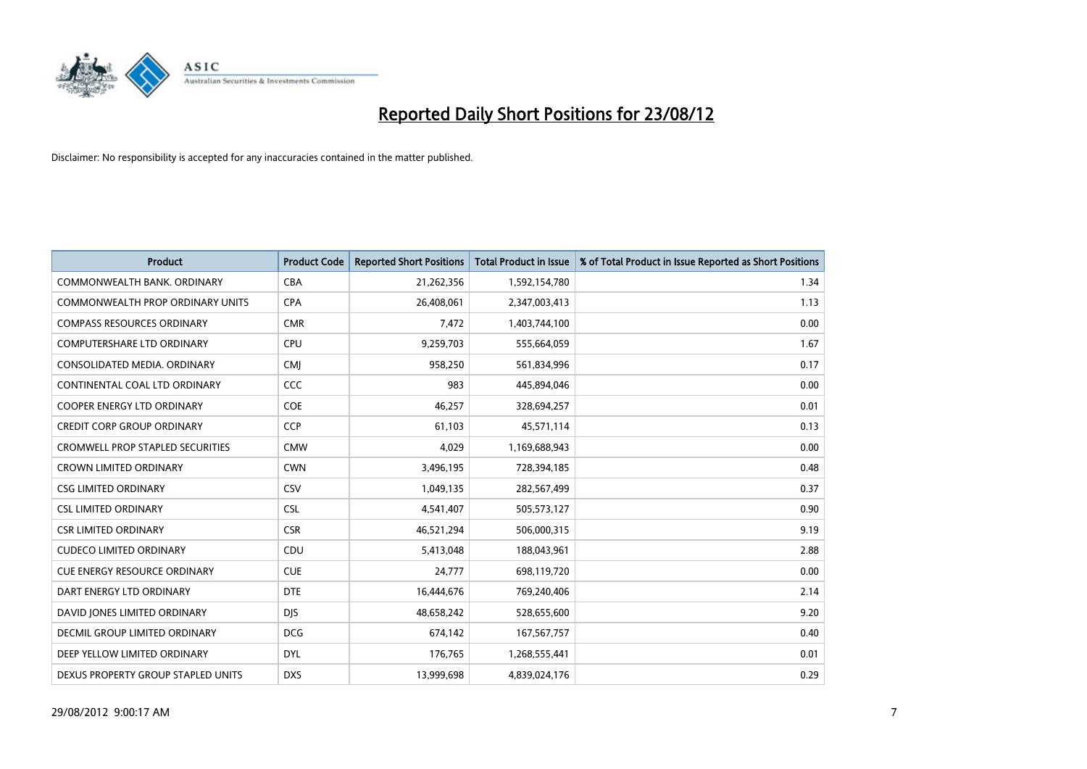

| <b>Product</b>                          | <b>Product Code</b> | <b>Reported Short Positions</b> | <b>Total Product in Issue</b> | % of Total Product in Issue Reported as Short Positions |
|-----------------------------------------|---------------------|---------------------------------|-------------------------------|---------------------------------------------------------|
| COMMONWEALTH BANK, ORDINARY             | CBA                 | 21,262,356                      | 1,592,154,780                 | 1.34                                                    |
| COMMONWEALTH PROP ORDINARY UNITS        | <b>CPA</b>          | 26,408,061                      | 2,347,003,413                 | 1.13                                                    |
| <b>COMPASS RESOURCES ORDINARY</b>       | <b>CMR</b>          | 7,472                           | 1,403,744,100                 | 0.00                                                    |
| COMPUTERSHARE LTD ORDINARY              | CPU                 | 9,259,703                       | 555,664,059                   | 1.67                                                    |
| CONSOLIDATED MEDIA, ORDINARY            | <b>CMI</b>          | 958,250                         | 561,834,996                   | 0.17                                                    |
| CONTINENTAL COAL LTD ORDINARY           | <b>CCC</b>          | 983                             | 445,894,046                   | 0.00                                                    |
| <b>COOPER ENERGY LTD ORDINARY</b>       | COE                 | 46.257                          | 328,694,257                   | 0.01                                                    |
| CREDIT CORP GROUP ORDINARY              | CCP                 | 61,103                          | 45,571,114                    | 0.13                                                    |
| <b>CROMWELL PROP STAPLED SECURITIES</b> | <b>CMW</b>          | 4,029                           | 1,169,688,943                 | 0.00                                                    |
| <b>CROWN LIMITED ORDINARY</b>           | <b>CWN</b>          | 3,496,195                       | 728,394,185                   | 0.48                                                    |
| <b>CSG LIMITED ORDINARY</b>             | CSV                 | 1,049,135                       | 282,567,499                   | 0.37                                                    |
| <b>CSL LIMITED ORDINARY</b>             | <b>CSL</b>          | 4,541,407                       | 505,573,127                   | 0.90                                                    |
| <b>CSR LIMITED ORDINARY</b>             | <b>CSR</b>          | 46,521,294                      | 506,000,315                   | 9.19                                                    |
| <b>CUDECO LIMITED ORDINARY</b>          | CDU                 | 5,413,048                       | 188,043,961                   | 2.88                                                    |
| <b>CUE ENERGY RESOURCE ORDINARY</b>     | <b>CUE</b>          | 24,777                          | 698,119,720                   | 0.00                                                    |
| DART ENERGY LTD ORDINARY                | <b>DTE</b>          | 16,444,676                      | 769,240,406                   | 2.14                                                    |
| DAVID JONES LIMITED ORDINARY            | <b>DJS</b>          | 48,658,242                      | 528,655,600                   | 9.20                                                    |
| <b>DECMIL GROUP LIMITED ORDINARY</b>    | <b>DCG</b>          | 674,142                         | 167,567,757                   | 0.40                                                    |
| DEEP YELLOW LIMITED ORDINARY            | <b>DYL</b>          | 176,765                         | 1,268,555,441                 | 0.01                                                    |
| DEXUS PROPERTY GROUP STAPLED UNITS      | <b>DXS</b>          | 13,999,698                      | 4,839,024,176                 | 0.29                                                    |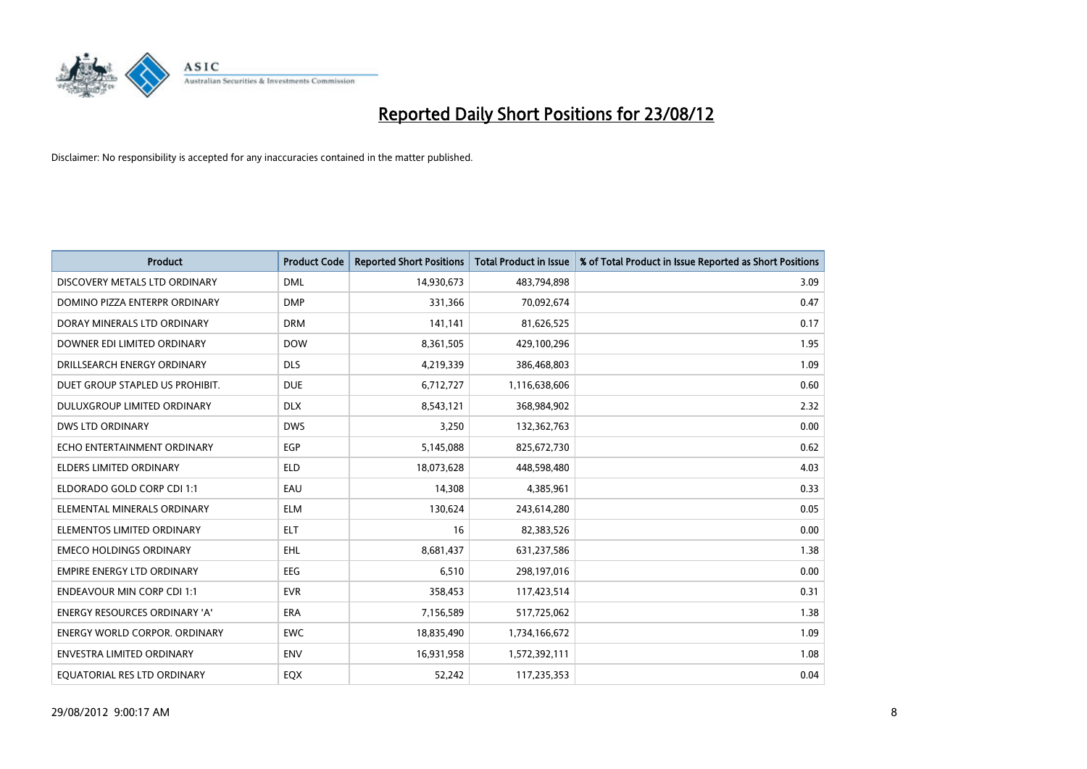

| <b>Product</b>                       | <b>Product Code</b> | <b>Reported Short Positions</b> | <b>Total Product in Issue</b> | % of Total Product in Issue Reported as Short Positions |
|--------------------------------------|---------------------|---------------------------------|-------------------------------|---------------------------------------------------------|
| DISCOVERY METALS LTD ORDINARY        | <b>DML</b>          | 14,930,673                      | 483,794,898                   | 3.09                                                    |
| DOMINO PIZZA ENTERPR ORDINARY        | <b>DMP</b>          | 331,366                         | 70,092,674                    | 0.47                                                    |
| DORAY MINERALS LTD ORDINARY          | <b>DRM</b>          | 141,141                         | 81,626,525                    | 0.17                                                    |
| DOWNER EDI LIMITED ORDINARY          | <b>DOW</b>          | 8,361,505                       | 429,100,296                   | 1.95                                                    |
| DRILLSEARCH ENERGY ORDINARY          | <b>DLS</b>          | 4,219,339                       | 386,468,803                   | 1.09                                                    |
| DUET GROUP STAPLED US PROHIBIT.      | <b>DUE</b>          | 6,712,727                       | 1,116,638,606                 | 0.60                                                    |
| DULUXGROUP LIMITED ORDINARY          | <b>DLX</b>          | 8,543,121                       | 368,984,902                   | 2.32                                                    |
| <b>DWS LTD ORDINARY</b>              | <b>DWS</b>          | 3,250                           | 132,362,763                   | 0.00                                                    |
| ECHO ENTERTAINMENT ORDINARY          | <b>EGP</b>          | 5,145,088                       | 825,672,730                   | 0.62                                                    |
| <b>ELDERS LIMITED ORDINARY</b>       | <b>ELD</b>          | 18,073,628                      | 448,598,480                   | 4.03                                                    |
| ELDORADO GOLD CORP CDI 1:1           | EAU                 | 14,308                          | 4,385,961                     | 0.33                                                    |
| ELEMENTAL MINERALS ORDINARY          | <b>ELM</b>          | 130,624                         | 243,614,280                   | 0.05                                                    |
| ELEMENTOS LIMITED ORDINARY           | <b>ELT</b>          | 16                              | 82,383,526                    | 0.00                                                    |
| <b>EMECO HOLDINGS ORDINARY</b>       | <b>EHL</b>          | 8,681,437                       | 631,237,586                   | 1.38                                                    |
| <b>EMPIRE ENERGY LTD ORDINARY</b>    | <b>EEG</b>          | 6,510                           | 298,197,016                   | 0.00                                                    |
| <b>ENDEAVOUR MIN CORP CDI 1:1</b>    | <b>EVR</b>          | 358,453                         | 117,423,514                   | 0.31                                                    |
| <b>ENERGY RESOURCES ORDINARY 'A'</b> | <b>ERA</b>          | 7,156,589                       | 517,725,062                   | 1.38                                                    |
| ENERGY WORLD CORPOR. ORDINARY        | <b>EWC</b>          | 18,835,490                      | 1,734,166,672                 | 1.09                                                    |
| <b>ENVESTRA LIMITED ORDINARY</b>     | <b>ENV</b>          | 16,931,958                      | 1,572,392,111                 | 1.08                                                    |
| EQUATORIAL RES LTD ORDINARY          | <b>EQX</b>          | 52.242                          | 117,235,353                   | 0.04                                                    |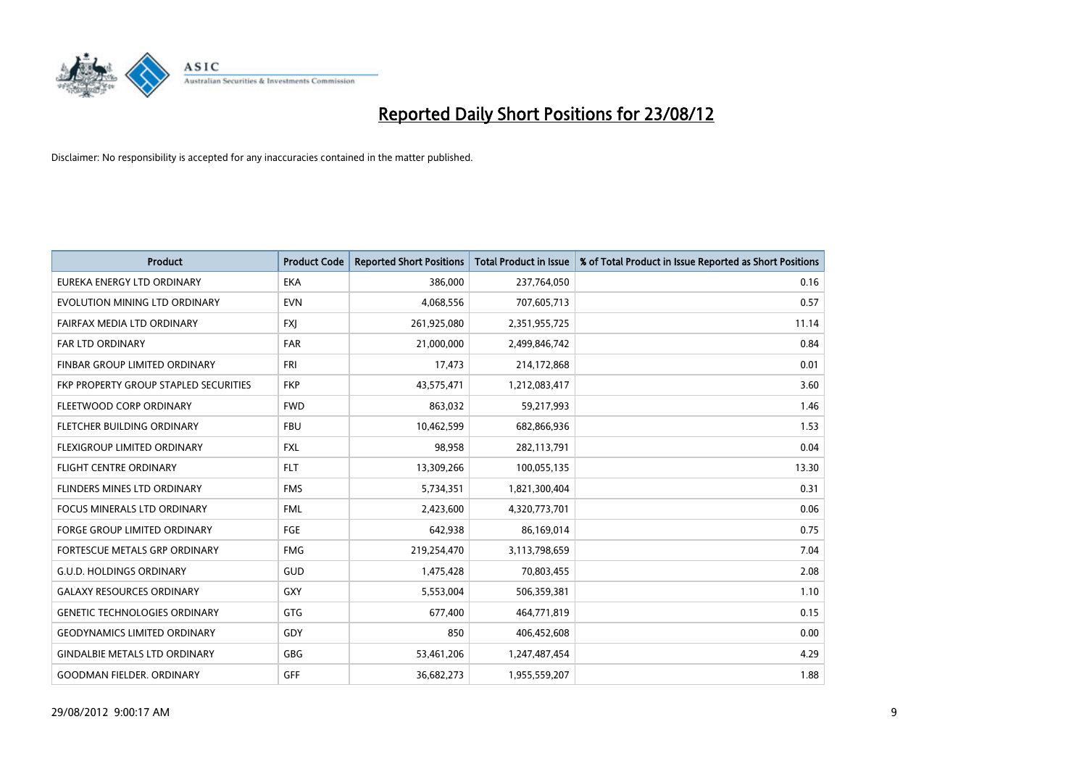

| <b>Product</b>                               | <b>Product Code</b> | <b>Reported Short Positions</b> | <b>Total Product in Issue</b> | % of Total Product in Issue Reported as Short Positions |
|----------------------------------------------|---------------------|---------------------------------|-------------------------------|---------------------------------------------------------|
| EUREKA ENERGY LTD ORDINARY                   | <b>EKA</b>          | 386,000                         | 237,764,050                   | 0.16                                                    |
| EVOLUTION MINING LTD ORDINARY                | <b>EVN</b>          | 4,068,556                       | 707,605,713                   | 0.57                                                    |
| FAIRFAX MEDIA LTD ORDINARY                   | <b>FXJ</b>          | 261,925,080                     | 2,351,955,725                 | 11.14                                                   |
| FAR LTD ORDINARY                             | <b>FAR</b>          | 21,000,000                      | 2,499,846,742                 | 0.84                                                    |
| <b>FINBAR GROUP LIMITED ORDINARY</b>         | <b>FRI</b>          | 17,473                          | 214,172,868                   | 0.01                                                    |
| <b>FKP PROPERTY GROUP STAPLED SECURITIES</b> | <b>FKP</b>          | 43,575,471                      | 1,212,083,417                 | 3.60                                                    |
| FLEETWOOD CORP ORDINARY                      | <b>FWD</b>          | 863,032                         | 59,217,993                    | 1.46                                                    |
| FLETCHER BUILDING ORDINARY                   | <b>FBU</b>          | 10,462,599                      | 682,866,936                   | 1.53                                                    |
| FLEXIGROUP LIMITED ORDINARY                  | <b>FXL</b>          | 98,958                          | 282,113,791                   | 0.04                                                    |
| <b>FLIGHT CENTRE ORDINARY</b>                | <b>FLT</b>          | 13,309,266                      | 100,055,135                   | 13.30                                                   |
| FLINDERS MINES LTD ORDINARY                  | <b>FMS</b>          | 5,734,351                       | 1,821,300,404                 | 0.31                                                    |
| <b>FOCUS MINERALS LTD ORDINARY</b>           | <b>FML</b>          | 2,423,600                       | 4,320,773,701                 | 0.06                                                    |
| FORGE GROUP LIMITED ORDINARY                 | FGE                 | 642,938                         | 86,169,014                    | 0.75                                                    |
| <b>FORTESCUE METALS GRP ORDINARY</b>         | <b>FMG</b>          | 219,254,470                     | 3,113,798,659                 | 7.04                                                    |
| <b>G.U.D. HOLDINGS ORDINARY</b>              | <b>GUD</b>          | 1,475,428                       | 70,803,455                    | 2.08                                                    |
| <b>GALAXY RESOURCES ORDINARY</b>             | GXY                 | 5,553,004                       | 506,359,381                   | 1.10                                                    |
| <b>GENETIC TECHNOLOGIES ORDINARY</b>         | GTG                 | 677,400                         | 464,771,819                   | 0.15                                                    |
| <b>GEODYNAMICS LIMITED ORDINARY</b>          | GDY                 | 850                             | 406,452,608                   | 0.00                                                    |
| <b>GINDALBIE METALS LTD ORDINARY</b>         | GBG                 | 53,461,206                      | 1,247,487,454                 | 4.29                                                    |
| <b>GOODMAN FIELDER, ORDINARY</b>             | GFF                 | 36,682,273                      | 1,955,559,207                 | 1.88                                                    |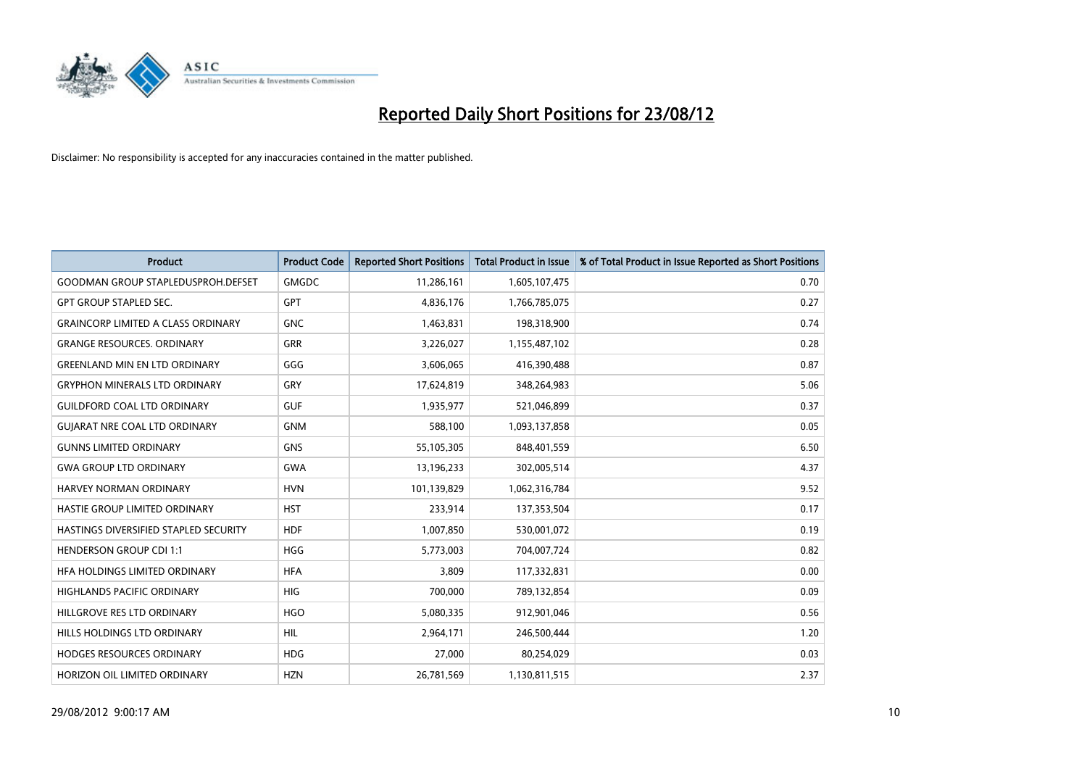

| <b>Product</b>                            | <b>Product Code</b> | <b>Reported Short Positions</b> | <b>Total Product in Issue</b> | % of Total Product in Issue Reported as Short Positions |
|-------------------------------------------|---------------------|---------------------------------|-------------------------------|---------------------------------------------------------|
| <b>GOODMAN GROUP STAPLEDUSPROH.DEFSET</b> | <b>GMGDC</b>        | 11,286,161                      | 1,605,107,475                 | 0.70                                                    |
| <b>GPT GROUP STAPLED SEC.</b>             | <b>GPT</b>          | 4,836,176                       | 1,766,785,075                 | 0.27                                                    |
| <b>GRAINCORP LIMITED A CLASS ORDINARY</b> | <b>GNC</b>          | 1,463,831                       | 198,318,900                   | 0.74                                                    |
| <b>GRANGE RESOURCES. ORDINARY</b>         | <b>GRR</b>          | 3,226,027                       | 1,155,487,102                 | 0.28                                                    |
| <b>GREENLAND MIN EN LTD ORDINARY</b>      | GGG                 | 3,606,065                       | 416,390,488                   | 0.87                                                    |
| <b>GRYPHON MINERALS LTD ORDINARY</b>      | GRY                 | 17,624,819                      | 348,264,983                   | 5.06                                                    |
| <b>GUILDFORD COAL LTD ORDINARY</b>        | <b>GUF</b>          | 1,935,977                       | 521,046,899                   | 0.37                                                    |
| <b>GUIARAT NRE COAL LTD ORDINARY</b>      | <b>GNM</b>          | 588,100                         | 1,093,137,858                 | 0.05                                                    |
| <b>GUNNS LIMITED ORDINARY</b>             | <b>GNS</b>          | 55,105,305                      | 848,401,559                   | 6.50                                                    |
| <b>GWA GROUP LTD ORDINARY</b>             | <b>GWA</b>          | 13,196,233                      | 302,005,514                   | 4.37                                                    |
| <b>HARVEY NORMAN ORDINARY</b>             | <b>HVN</b>          | 101,139,829                     | 1,062,316,784                 | 9.52                                                    |
| HASTIE GROUP LIMITED ORDINARY             | <b>HST</b>          | 233,914                         | 137,353,504                   | 0.17                                                    |
| HASTINGS DIVERSIFIED STAPLED SECURITY     | <b>HDF</b>          | 1,007,850                       | 530,001,072                   | 0.19                                                    |
| <b>HENDERSON GROUP CDI 1:1</b>            | <b>HGG</b>          | 5,773,003                       | 704,007,724                   | 0.82                                                    |
| HFA HOLDINGS LIMITED ORDINARY             | <b>HFA</b>          | 3,809                           | 117,332,831                   | 0.00                                                    |
| HIGHLANDS PACIFIC ORDINARY                | <b>HIG</b>          | 700,000                         | 789,132,854                   | 0.09                                                    |
| HILLGROVE RES LTD ORDINARY                | <b>HGO</b>          | 5,080,335                       | 912,901,046                   | 0.56                                                    |
| HILLS HOLDINGS LTD ORDINARY               | <b>HIL</b>          | 2,964,171                       | 246,500,444                   | 1.20                                                    |
| <b>HODGES RESOURCES ORDINARY</b>          | <b>HDG</b>          | 27,000                          | 80,254,029                    | 0.03                                                    |
| HORIZON OIL LIMITED ORDINARY              | <b>HZN</b>          | 26,781,569                      | 1,130,811,515                 | 2.37                                                    |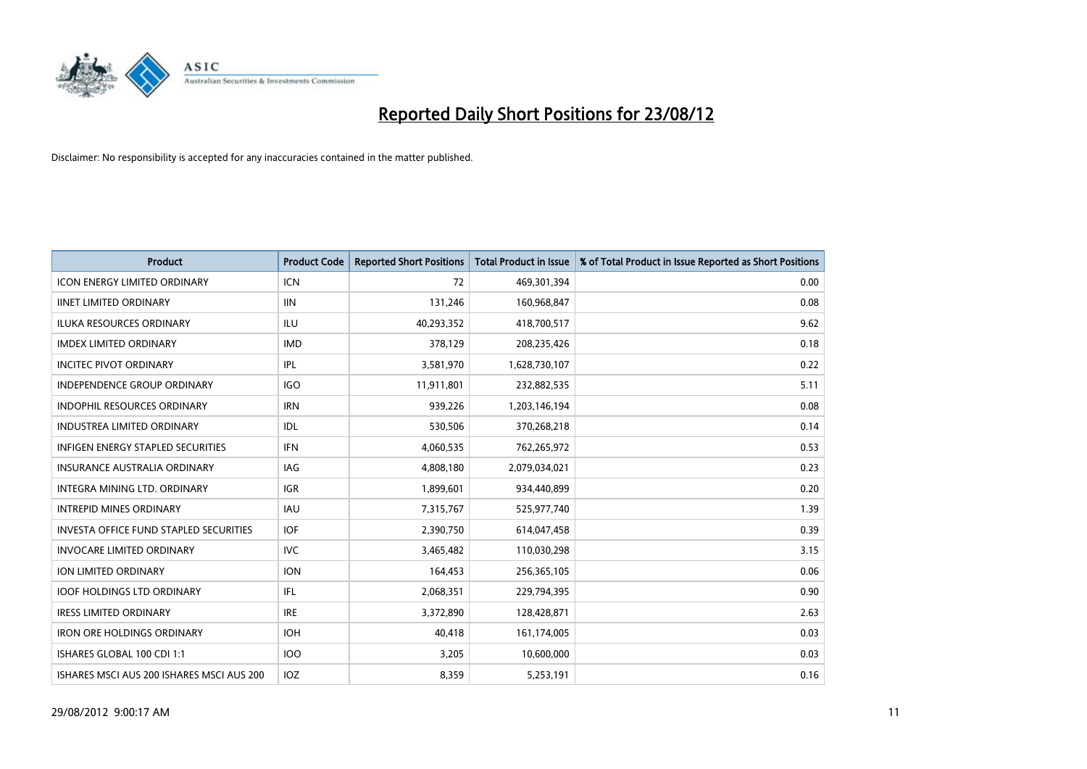

| <b>Product</b>                                | <b>Product Code</b> | <b>Reported Short Positions</b> | <b>Total Product in Issue</b> | % of Total Product in Issue Reported as Short Positions |
|-----------------------------------------------|---------------------|---------------------------------|-------------------------------|---------------------------------------------------------|
| <b>ICON ENERGY LIMITED ORDINARY</b>           | <b>ICN</b>          | 72                              | 469,301,394                   | 0.00                                                    |
| <b>IINET LIMITED ORDINARY</b>                 | <b>IIN</b>          | 131,246                         | 160,968,847                   | 0.08                                                    |
| <b>ILUKA RESOURCES ORDINARY</b>               | ILU                 | 40,293,352                      | 418,700,517                   | 9.62                                                    |
| <b>IMDEX LIMITED ORDINARY</b>                 | <b>IMD</b>          | 378,129                         | 208,235,426                   | 0.18                                                    |
| <b>INCITEC PIVOT ORDINARY</b>                 | <b>IPL</b>          | 3,581,970                       | 1,628,730,107                 | 0.22                                                    |
| <b>INDEPENDENCE GROUP ORDINARY</b>            | <b>IGO</b>          | 11,911,801                      | 232,882,535                   | 5.11                                                    |
| <b>INDOPHIL RESOURCES ORDINARY</b>            | <b>IRN</b>          | 939.226                         | 1,203,146,194                 | 0.08                                                    |
| <b>INDUSTREA LIMITED ORDINARY</b>             | IDL                 | 530,506                         | 370,268,218                   | 0.14                                                    |
| INFIGEN ENERGY STAPLED SECURITIES             | <b>IFN</b>          | 4,060,535                       | 762,265,972                   | 0.53                                                    |
| INSURANCE AUSTRALIA ORDINARY                  | <b>IAG</b>          | 4,808,180                       | 2,079,034,021                 | 0.23                                                    |
| INTEGRA MINING LTD, ORDINARY                  | <b>IGR</b>          | 1,899,601                       | 934,440,899                   | 0.20                                                    |
| <b>INTREPID MINES ORDINARY</b>                | <b>IAU</b>          | 7,315,767                       | 525,977,740                   | 1.39                                                    |
| <b>INVESTA OFFICE FUND STAPLED SECURITIES</b> | <b>IOF</b>          | 2,390,750                       | 614,047,458                   | 0.39                                                    |
| <b>INVOCARE LIMITED ORDINARY</b>              | <b>IVC</b>          | 3,465,482                       | 110,030,298                   | 3.15                                                    |
| ION LIMITED ORDINARY                          | <b>ION</b>          | 164,453                         | 256,365,105                   | 0.06                                                    |
| <b>IOOF HOLDINGS LTD ORDINARY</b>             | <b>IFL</b>          | 2,068,351                       | 229,794,395                   | 0.90                                                    |
| <b>IRESS LIMITED ORDINARY</b>                 | <b>IRE</b>          | 3,372,890                       | 128,428,871                   | 2.63                                                    |
| <b>IRON ORE HOLDINGS ORDINARY</b>             | <b>IOH</b>          | 40,418                          | 161,174,005                   | 0.03                                                    |
| ISHARES GLOBAL 100 CDI 1:1                    | <b>IOO</b>          | 3,205                           | 10,600,000                    | 0.03                                                    |
| ISHARES MSCI AUS 200 ISHARES MSCI AUS 200     | <b>IOZ</b>          | 8.359                           | 5,253,191                     | 0.16                                                    |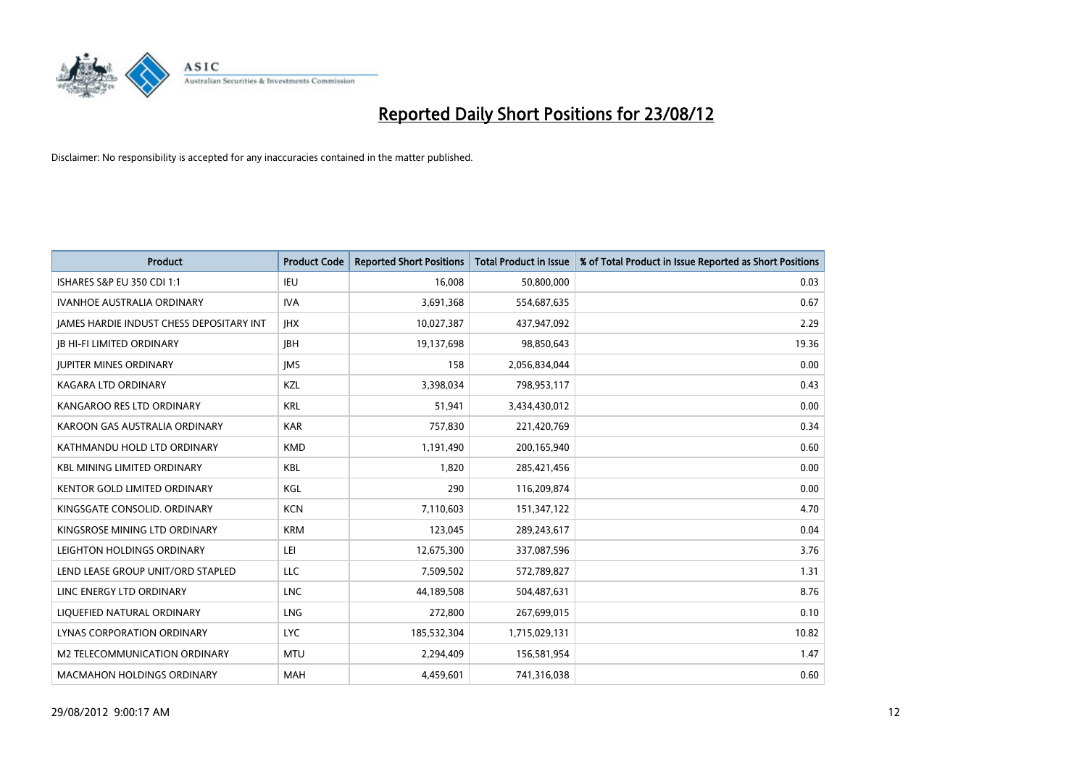

| <b>Product</b>                                  | <b>Product Code</b> | <b>Reported Short Positions</b> | <b>Total Product in Issue</b> | % of Total Product in Issue Reported as Short Positions |
|-------------------------------------------------|---------------------|---------------------------------|-------------------------------|---------------------------------------------------------|
| ISHARES S&P EU 350 CDI 1:1                      | IEU                 | 16.008                          | 50,800,000                    | 0.03                                                    |
| <b>IVANHOE AUSTRALIA ORDINARY</b>               | <b>IVA</b>          | 3,691,368                       | 554,687,635                   | 0.67                                                    |
| <b>JAMES HARDIE INDUST CHESS DEPOSITARY INT</b> | <b>IHX</b>          | 10,027,387                      | 437,947,092                   | 2.29                                                    |
| <b>JB HI-FI LIMITED ORDINARY</b>                | <b>IBH</b>          | 19,137,698                      | 98,850,643                    | 19.36                                                   |
| <b>JUPITER MINES ORDINARY</b>                   | <b>IMS</b>          | 158                             | 2,056,834,044                 | 0.00                                                    |
| <b>KAGARA LTD ORDINARY</b>                      | <b>KZL</b>          | 3,398,034                       | 798,953,117                   | 0.43                                                    |
| KANGAROO RES LTD ORDINARY                       | <b>KRL</b>          | 51,941                          | 3,434,430,012                 | 0.00                                                    |
| KAROON GAS AUSTRALIA ORDINARY                   | <b>KAR</b>          | 757,830                         | 221,420,769                   | 0.34                                                    |
| KATHMANDU HOLD LTD ORDINARY                     | <b>KMD</b>          | 1,191,490                       | 200,165,940                   | 0.60                                                    |
| <b>KBL MINING LIMITED ORDINARY</b>              | <b>KBL</b>          | 1,820                           | 285,421,456                   | 0.00                                                    |
| <b>KENTOR GOLD LIMITED ORDINARY</b>             | KGL                 | 290                             | 116,209,874                   | 0.00                                                    |
| KINGSGATE CONSOLID. ORDINARY                    | <b>KCN</b>          | 7,110,603                       | 151,347,122                   | 4.70                                                    |
| KINGSROSE MINING LTD ORDINARY                   | <b>KRM</b>          | 123,045                         | 289,243,617                   | 0.04                                                    |
| LEIGHTON HOLDINGS ORDINARY                      | LEI                 | 12,675,300                      | 337,087,596                   | 3.76                                                    |
| LEND LEASE GROUP UNIT/ORD STAPLED               | LLC                 | 7,509,502                       | 572,789,827                   | 1.31                                                    |
| LINC ENERGY LTD ORDINARY                        | <b>LNC</b>          | 44,189,508                      | 504,487,631                   | 8.76                                                    |
| LIQUEFIED NATURAL ORDINARY                      | LNG                 | 272,800                         | 267,699,015                   | 0.10                                                    |
| LYNAS CORPORATION ORDINARY                      | <b>LYC</b>          | 185,532,304                     | 1,715,029,131                 | 10.82                                                   |
| <b>M2 TELECOMMUNICATION ORDINARY</b>            | <b>MTU</b>          | 2,294,409                       | 156,581,954                   | 1.47                                                    |
| <b>MACMAHON HOLDINGS ORDINARY</b>               | <b>MAH</b>          | 4,459,601                       | 741,316,038                   | 0.60                                                    |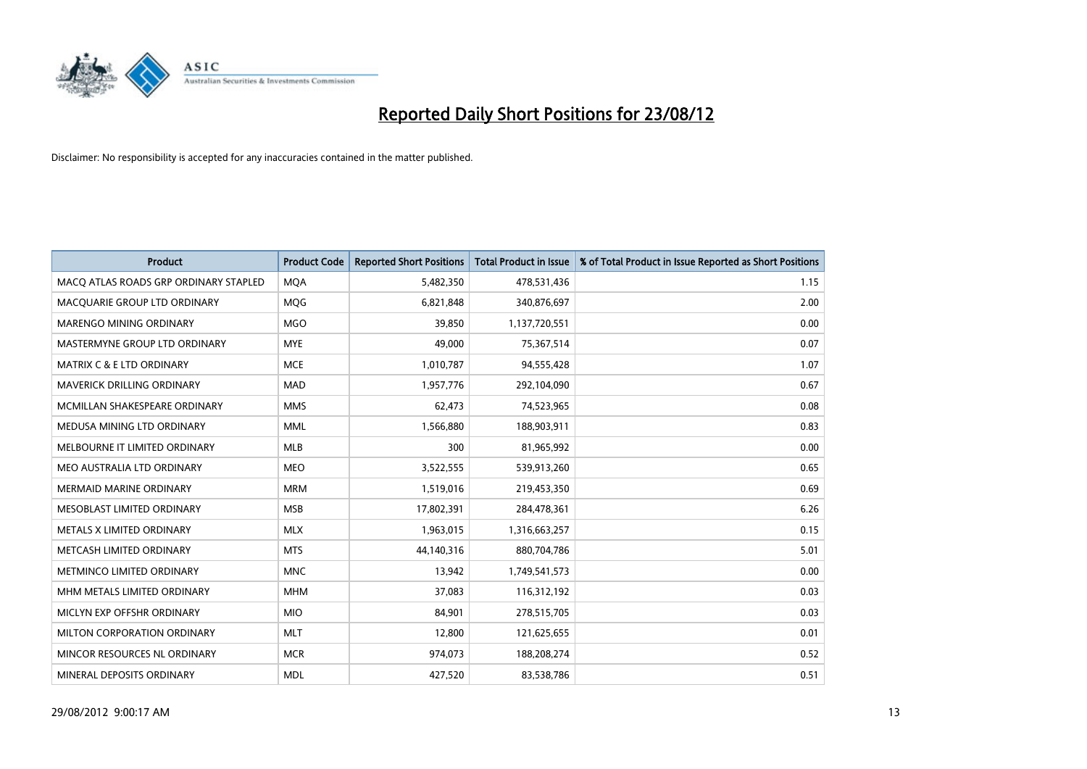

| <b>Product</b>                        | <b>Product Code</b> | <b>Reported Short Positions</b> | <b>Total Product in Issue</b> | % of Total Product in Issue Reported as Short Positions |
|---------------------------------------|---------------------|---------------------------------|-------------------------------|---------------------------------------------------------|
| MACQ ATLAS ROADS GRP ORDINARY STAPLED | <b>MOA</b>          | 5,482,350                       | 478,531,436                   | 1.15                                                    |
| MACQUARIE GROUP LTD ORDINARY          | <b>MOG</b>          | 6,821,848                       | 340,876,697                   | 2.00                                                    |
| <b>MARENGO MINING ORDINARY</b>        | <b>MGO</b>          | 39,850                          | 1,137,720,551                 | 0.00                                                    |
| MASTERMYNE GROUP LTD ORDINARY         | <b>MYE</b>          | 49,000                          | 75,367,514                    | 0.07                                                    |
| <b>MATRIX C &amp; E LTD ORDINARY</b>  | <b>MCE</b>          | 1,010,787                       | 94,555,428                    | 1.07                                                    |
| <b>MAVERICK DRILLING ORDINARY</b>     | <b>MAD</b>          | 1,957,776                       | 292,104,090                   | 0.67                                                    |
| MCMILLAN SHAKESPEARE ORDINARY         | <b>MMS</b>          | 62,473                          | 74,523,965                    | 0.08                                                    |
| MEDUSA MINING LTD ORDINARY            | <b>MML</b>          | 1,566,880                       | 188,903,911                   | 0.83                                                    |
| MELBOURNE IT LIMITED ORDINARY         | <b>MLB</b>          | 300                             | 81,965,992                    | 0.00                                                    |
| MEO AUSTRALIA LTD ORDINARY            | <b>MEO</b>          | 3,522,555                       | 539,913,260                   | 0.65                                                    |
| <b>MERMAID MARINE ORDINARY</b>        | <b>MRM</b>          | 1,519,016                       | 219,453,350                   | 0.69                                                    |
| MESOBLAST LIMITED ORDINARY            | <b>MSB</b>          | 17,802,391                      | 284,478,361                   | 6.26                                                    |
| METALS X LIMITED ORDINARY             | <b>MLX</b>          | 1,963,015                       | 1,316,663,257                 | 0.15                                                    |
| METCASH LIMITED ORDINARY              | <b>MTS</b>          | 44,140,316                      | 880,704,786                   | 5.01                                                    |
| METMINCO LIMITED ORDINARY             | <b>MNC</b>          | 13,942                          | 1,749,541,573                 | 0.00                                                    |
| MHM METALS LIMITED ORDINARY           | <b>MHM</b>          | 37,083                          | 116,312,192                   | 0.03                                                    |
| MICLYN EXP OFFSHR ORDINARY            | <b>MIO</b>          | 84,901                          | 278,515,705                   | 0.03                                                    |
| MILTON CORPORATION ORDINARY           | <b>MLT</b>          | 12,800                          | 121,625,655                   | 0.01                                                    |
| MINCOR RESOURCES NL ORDINARY          | <b>MCR</b>          | 974,073                         | 188,208,274                   | 0.52                                                    |
| MINERAL DEPOSITS ORDINARY             | <b>MDL</b>          | 427,520                         | 83,538,786                    | 0.51                                                    |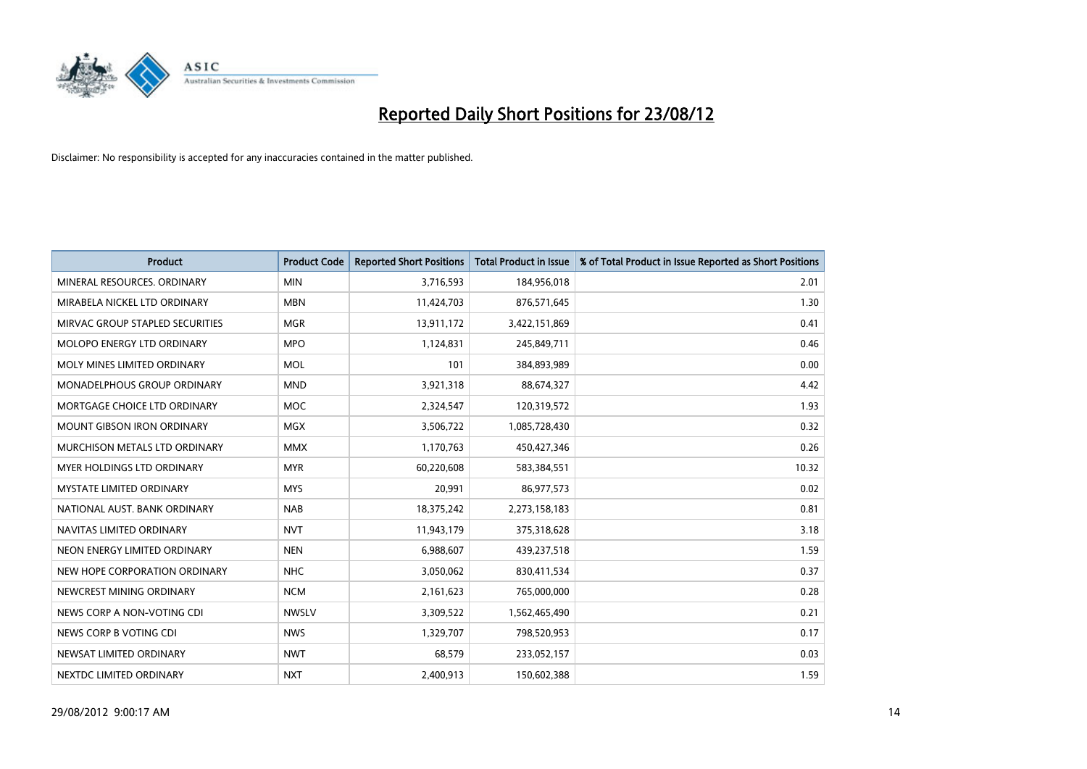

| <b>Product</b>                     | <b>Product Code</b> | <b>Reported Short Positions</b> | <b>Total Product in Issue</b> | % of Total Product in Issue Reported as Short Positions |
|------------------------------------|---------------------|---------------------------------|-------------------------------|---------------------------------------------------------|
| MINERAL RESOURCES, ORDINARY        | <b>MIN</b>          | 3,716,593                       | 184,956,018                   | 2.01                                                    |
| MIRABELA NICKEL LTD ORDINARY       | <b>MBN</b>          | 11,424,703                      | 876,571,645                   | 1.30                                                    |
| MIRVAC GROUP STAPLED SECURITIES    | <b>MGR</b>          | 13,911,172                      | 3,422,151,869                 | 0.41                                                    |
| MOLOPO ENERGY LTD ORDINARY         | <b>MPO</b>          | 1,124,831                       | 245,849,711                   | 0.46                                                    |
| MOLY MINES LIMITED ORDINARY        | <b>MOL</b>          | 101                             | 384,893,989                   | 0.00                                                    |
| <b>MONADELPHOUS GROUP ORDINARY</b> | <b>MND</b>          | 3,921,318                       | 88,674,327                    | 4.42                                                    |
| MORTGAGE CHOICE LTD ORDINARY       | <b>MOC</b>          | 2,324,547                       | 120,319,572                   | 1.93                                                    |
| MOUNT GIBSON IRON ORDINARY         | <b>MGX</b>          | 3,506,722                       | 1,085,728,430                 | 0.32                                                    |
| MURCHISON METALS LTD ORDINARY      | <b>MMX</b>          | 1,170,763                       | 450,427,346                   | 0.26                                                    |
| <b>MYER HOLDINGS LTD ORDINARY</b>  | <b>MYR</b>          | 60,220,608                      | 583,384,551                   | 10.32                                                   |
| MYSTATE LIMITED ORDINARY           | <b>MYS</b>          | 20,991                          | 86,977,573                    | 0.02                                                    |
| NATIONAL AUST, BANK ORDINARY       | <b>NAB</b>          | 18,375,242                      | 2,273,158,183                 | 0.81                                                    |
| NAVITAS LIMITED ORDINARY           | <b>NVT</b>          | 11,943,179                      | 375,318,628                   | 3.18                                                    |
| NEON ENERGY LIMITED ORDINARY       | <b>NEN</b>          | 6,988,607                       | 439,237,518                   | 1.59                                                    |
| NEW HOPE CORPORATION ORDINARY      | <b>NHC</b>          | 3,050,062                       | 830,411,534                   | 0.37                                                    |
| NEWCREST MINING ORDINARY           | <b>NCM</b>          | 2,161,623                       | 765,000,000                   | 0.28                                                    |
| NEWS CORP A NON-VOTING CDI         | <b>NWSLV</b>        | 3,309,522                       | 1,562,465,490                 | 0.21                                                    |
| NEWS CORP B VOTING CDI             | <b>NWS</b>          | 1,329,707                       | 798,520,953                   | 0.17                                                    |
| NEWSAT LIMITED ORDINARY            | <b>NWT</b>          | 68,579                          | 233,052,157                   | 0.03                                                    |
| NEXTDC LIMITED ORDINARY            | <b>NXT</b>          | 2,400,913                       | 150,602,388                   | 1.59                                                    |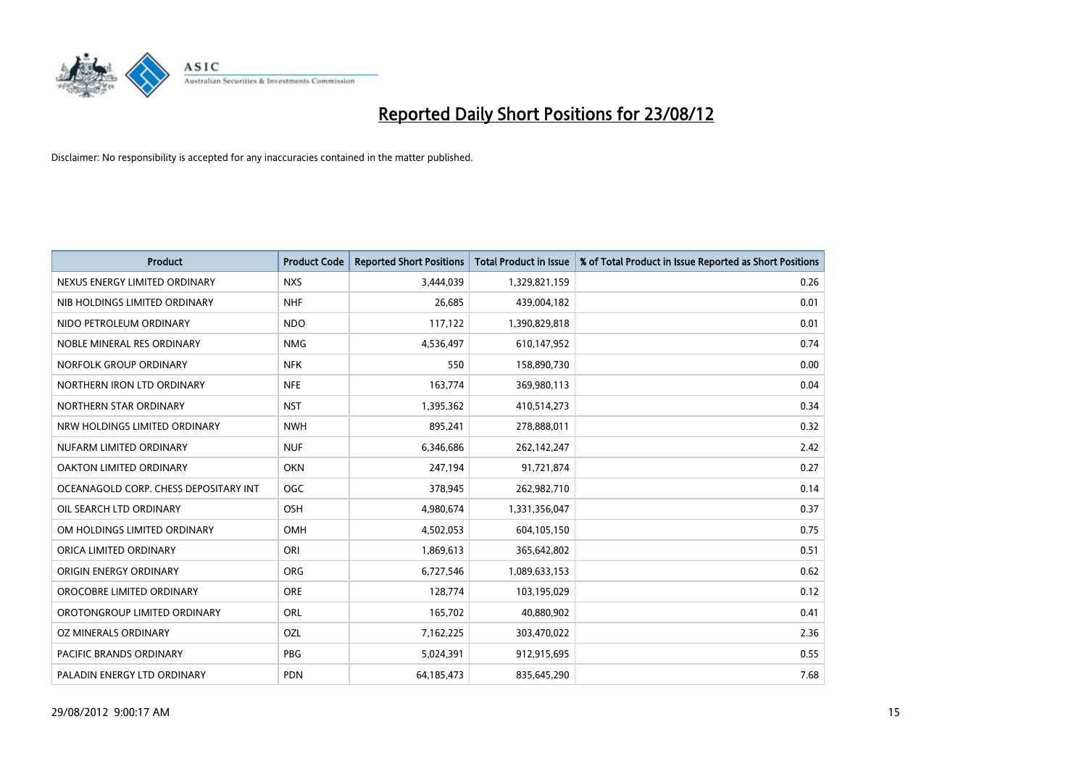

| <b>Product</b>                        | <b>Product Code</b> | <b>Reported Short Positions</b> | <b>Total Product in Issue</b> | % of Total Product in Issue Reported as Short Positions |
|---------------------------------------|---------------------|---------------------------------|-------------------------------|---------------------------------------------------------|
| NEXUS ENERGY LIMITED ORDINARY         | <b>NXS</b>          | 3,444,039                       | 1,329,821,159                 | 0.26                                                    |
| NIB HOLDINGS LIMITED ORDINARY         | <b>NHF</b>          | 26,685                          | 439,004,182                   | 0.01                                                    |
| NIDO PETROLEUM ORDINARY               | <b>NDO</b>          | 117,122                         | 1,390,829,818                 | 0.01                                                    |
| NOBLE MINERAL RES ORDINARY            | <b>NMG</b>          | 4,536,497                       | 610,147,952                   | 0.74                                                    |
| NORFOLK GROUP ORDINARY                | <b>NFK</b>          | 550                             | 158,890,730                   | 0.00                                                    |
| NORTHERN IRON LTD ORDINARY            | <b>NFE</b>          | 163,774                         | 369,980,113                   | 0.04                                                    |
| NORTHERN STAR ORDINARY                | <b>NST</b>          | 1,395,362                       | 410,514,273                   | 0.34                                                    |
| NRW HOLDINGS LIMITED ORDINARY         | <b>NWH</b>          | 895,241                         | 278,888,011                   | 0.32                                                    |
| NUFARM LIMITED ORDINARY               | <b>NUF</b>          | 6,346,686                       | 262,142,247                   | 2.42                                                    |
| <b>OAKTON LIMITED ORDINARY</b>        | <b>OKN</b>          | 247,194                         | 91,721,874                    | 0.27                                                    |
| OCEANAGOLD CORP. CHESS DEPOSITARY INT | OGC                 | 378,945                         | 262,982,710                   | 0.14                                                    |
| OIL SEARCH LTD ORDINARY               | OSH                 | 4,980,674                       | 1,331,356,047                 | 0.37                                                    |
| OM HOLDINGS LIMITED ORDINARY          | OMH                 | 4,502,053                       | 604,105,150                   | 0.75                                                    |
| ORICA LIMITED ORDINARY                | ORI                 | 1,869,613                       | 365,642,802                   | 0.51                                                    |
| ORIGIN ENERGY ORDINARY                | <b>ORG</b>          | 6,727,546                       | 1,089,633,153                 | 0.62                                                    |
| OROCOBRE LIMITED ORDINARY             | <b>ORE</b>          | 128,774                         | 103,195,029                   | 0.12                                                    |
| OROTONGROUP LIMITED ORDINARY          | ORL                 | 165,702                         | 40,880,902                    | 0.41                                                    |
| OZ MINERALS ORDINARY                  | OZL                 | 7,162,225                       | 303,470,022                   | 2.36                                                    |
| <b>PACIFIC BRANDS ORDINARY</b>        | <b>PBG</b>          | 5,024,391                       | 912,915,695                   | 0.55                                                    |
| PALADIN ENERGY LTD ORDINARY           | <b>PDN</b>          | 64,185,473                      | 835,645,290                   | 7.68                                                    |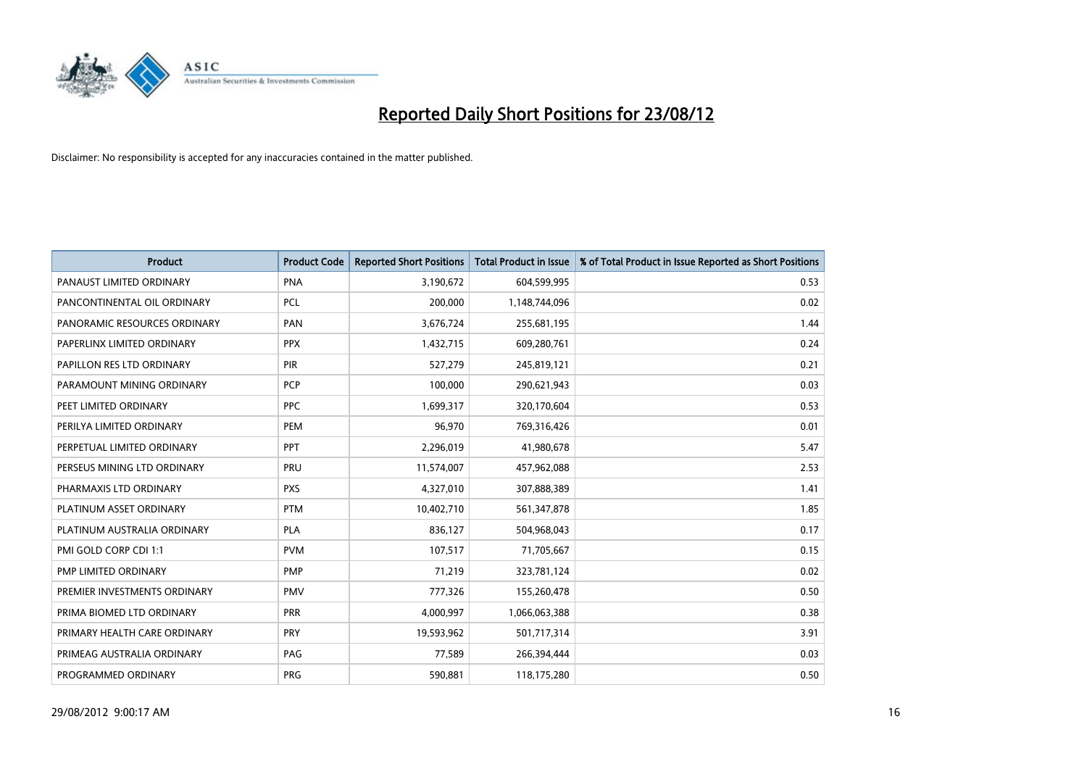

| <b>Product</b>               | <b>Product Code</b> | <b>Reported Short Positions</b> | <b>Total Product in Issue</b> | % of Total Product in Issue Reported as Short Positions |
|------------------------------|---------------------|---------------------------------|-------------------------------|---------------------------------------------------------|
| PANAUST LIMITED ORDINARY     | <b>PNA</b>          | 3,190,672                       | 604,599,995                   | 0.53                                                    |
| PANCONTINENTAL OIL ORDINARY  | <b>PCL</b>          | 200,000                         | 1,148,744,096                 | 0.02                                                    |
| PANORAMIC RESOURCES ORDINARY | PAN                 | 3,676,724                       | 255,681,195                   | 1.44                                                    |
| PAPERLINX LIMITED ORDINARY   | <b>PPX</b>          | 1,432,715                       | 609,280,761                   | 0.24                                                    |
| PAPILLON RES LTD ORDINARY    | PIR                 | 527,279                         | 245,819,121                   | 0.21                                                    |
| PARAMOUNT MINING ORDINARY    | PCP                 | 100,000                         | 290,621,943                   | 0.03                                                    |
| PEET LIMITED ORDINARY        | <b>PPC</b>          | 1,699,317                       | 320,170,604                   | 0.53                                                    |
| PERILYA LIMITED ORDINARY     | PEM                 | 96,970                          | 769,316,426                   | 0.01                                                    |
| PERPETUAL LIMITED ORDINARY   | <b>PPT</b>          | 2,296,019                       | 41,980,678                    | 5.47                                                    |
| PERSEUS MINING LTD ORDINARY  | PRU                 | 11,574,007                      | 457,962,088                   | 2.53                                                    |
| PHARMAXIS LTD ORDINARY       | <b>PXS</b>          | 4,327,010                       | 307,888,389                   | 1.41                                                    |
| PLATINUM ASSET ORDINARY      | <b>PTM</b>          | 10,402,710                      | 561,347,878                   | 1.85                                                    |
| PLATINUM AUSTRALIA ORDINARY  | PLA                 | 836,127                         | 504,968,043                   | 0.17                                                    |
| PMI GOLD CORP CDI 1:1        | <b>PVM</b>          | 107,517                         | 71,705,667                    | 0.15                                                    |
| PMP LIMITED ORDINARY         | <b>PMP</b>          | 71,219                          | 323,781,124                   | 0.02                                                    |
| PREMIER INVESTMENTS ORDINARY | <b>PMV</b>          | 777,326                         | 155,260,478                   | 0.50                                                    |
| PRIMA BIOMED LTD ORDINARY    | PRR                 | 4,000,997                       | 1,066,063,388                 | 0.38                                                    |
| PRIMARY HEALTH CARE ORDINARY | <b>PRY</b>          | 19,593,962                      | 501,717,314                   | 3.91                                                    |
| PRIMEAG AUSTRALIA ORDINARY   | PAG                 | 77,589                          | 266,394,444                   | 0.03                                                    |
| PROGRAMMED ORDINARY          | <b>PRG</b>          | 590.881                         | 118,175,280                   | 0.50                                                    |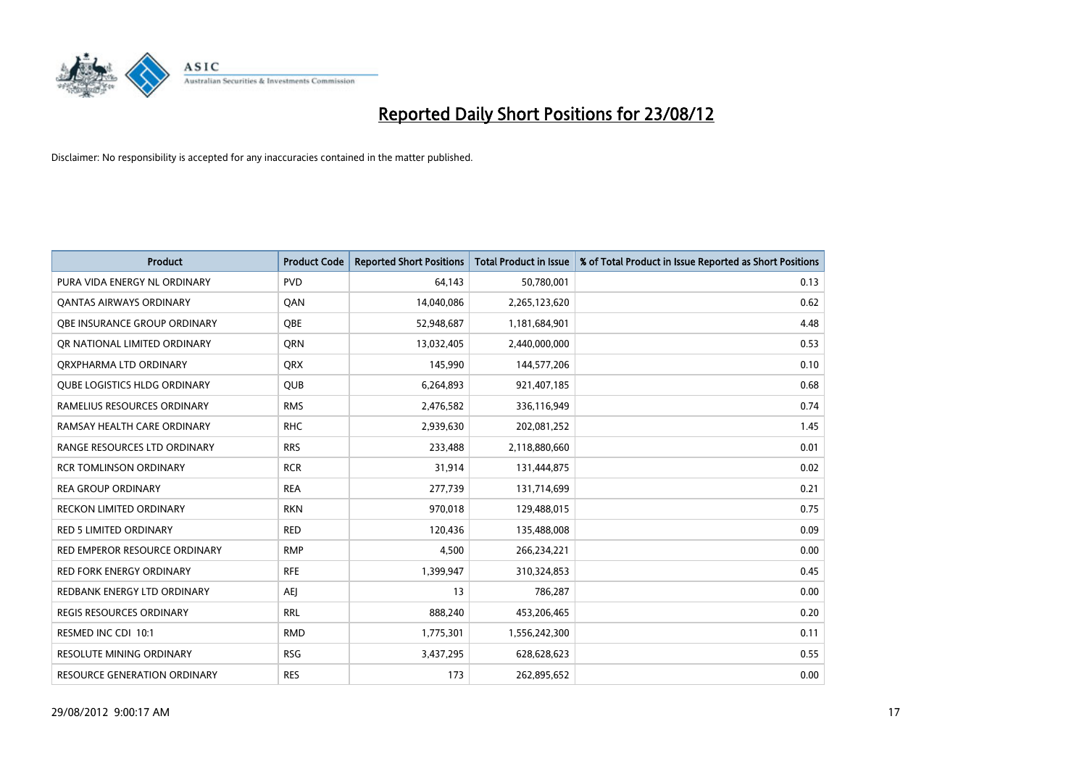

| <b>Product</b>                      | <b>Product Code</b> | <b>Reported Short Positions</b> | <b>Total Product in Issue</b> | % of Total Product in Issue Reported as Short Positions |
|-------------------------------------|---------------------|---------------------------------|-------------------------------|---------------------------------------------------------|
| PURA VIDA ENERGY NL ORDINARY        | <b>PVD</b>          | 64,143                          | 50,780,001                    | 0.13                                                    |
| <b>QANTAS AIRWAYS ORDINARY</b>      | QAN                 | 14,040,086                      | 2,265,123,620                 | 0.62                                                    |
| OBE INSURANCE GROUP ORDINARY        | <b>OBE</b>          | 52,948,687                      | 1,181,684,901                 | 4.48                                                    |
| OR NATIONAL LIMITED ORDINARY        | <b>ORN</b>          | 13,032,405                      | 2,440,000,000                 | 0.53                                                    |
| ORXPHARMA LTD ORDINARY              | <b>QRX</b>          | 145,990                         | 144,577,206                   | 0.10                                                    |
| <b>OUBE LOGISTICS HLDG ORDINARY</b> | <b>QUB</b>          | 6,264,893                       | 921,407,185                   | 0.68                                                    |
| RAMELIUS RESOURCES ORDINARY         | <b>RMS</b>          | 2,476,582                       | 336,116,949                   | 0.74                                                    |
| RAMSAY HEALTH CARE ORDINARY         | <b>RHC</b>          | 2,939,630                       | 202,081,252                   | 1.45                                                    |
| RANGE RESOURCES LTD ORDINARY        | <b>RRS</b>          | 233,488                         | 2,118,880,660                 | 0.01                                                    |
| <b>RCR TOMLINSON ORDINARY</b>       | <b>RCR</b>          | 31,914                          | 131,444,875                   | 0.02                                                    |
| <b>REA GROUP ORDINARY</b>           | <b>REA</b>          | 277,739                         | 131,714,699                   | 0.21                                                    |
| <b>RECKON LIMITED ORDINARY</b>      | <b>RKN</b>          | 970,018                         | 129,488,015                   | 0.75                                                    |
| RED 5 LIMITED ORDINARY              | <b>RED</b>          | 120,436                         | 135,488,008                   | 0.09                                                    |
| RED EMPEROR RESOURCE ORDINARY       | <b>RMP</b>          | 4,500                           | 266,234,221                   | 0.00                                                    |
| <b>RED FORK ENERGY ORDINARY</b>     | <b>RFE</b>          | 1,399,947                       | 310,324,853                   | 0.45                                                    |
| REDBANK ENERGY LTD ORDINARY         | AEI                 | 13                              | 786,287                       | 0.00                                                    |
| REGIS RESOURCES ORDINARY            | <b>RRL</b>          | 888,240                         | 453,206,465                   | 0.20                                                    |
| RESMED INC CDI 10:1                 | <b>RMD</b>          | 1,775,301                       | 1,556,242,300                 | 0.11                                                    |
| <b>RESOLUTE MINING ORDINARY</b>     | <b>RSG</b>          | 3,437,295                       | 628,628,623                   | 0.55                                                    |
| RESOURCE GENERATION ORDINARY        | <b>RES</b>          | 173                             | 262,895,652                   | 0.00                                                    |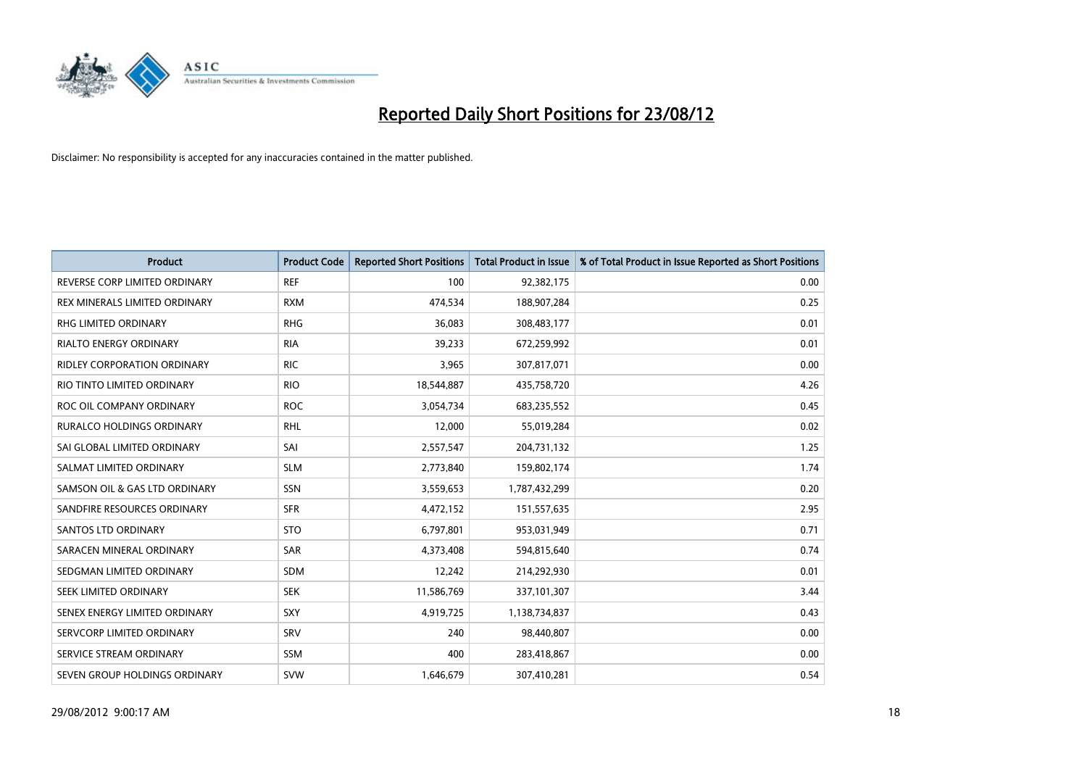

| <b>Product</b>                     | <b>Product Code</b> | <b>Reported Short Positions</b> | <b>Total Product in Issue</b> | % of Total Product in Issue Reported as Short Positions |
|------------------------------------|---------------------|---------------------------------|-------------------------------|---------------------------------------------------------|
| REVERSE CORP LIMITED ORDINARY      | <b>REF</b>          | 100                             | 92,382,175                    | 0.00                                                    |
| REX MINERALS LIMITED ORDINARY      | <b>RXM</b>          | 474,534                         | 188,907,284                   | 0.25                                                    |
| <b>RHG LIMITED ORDINARY</b>        | <b>RHG</b>          | 36,083                          | 308,483,177                   | 0.01                                                    |
| RIALTO ENERGY ORDINARY             | <b>RIA</b>          | 39,233                          | 672,259,992                   | 0.01                                                    |
| <b>RIDLEY CORPORATION ORDINARY</b> | <b>RIC</b>          | 3,965                           | 307,817,071                   | 0.00                                                    |
| RIO TINTO LIMITED ORDINARY         | <b>RIO</b>          | 18,544,887                      | 435,758,720                   | 4.26                                                    |
| ROC OIL COMPANY ORDINARY           | <b>ROC</b>          | 3,054,734                       | 683,235,552                   | 0.45                                                    |
| RURALCO HOLDINGS ORDINARY          | <b>RHL</b>          | 12,000                          | 55,019,284                    | 0.02                                                    |
| SAI GLOBAL LIMITED ORDINARY        | SAI                 | 2,557,547                       | 204,731,132                   | 1.25                                                    |
| SALMAT LIMITED ORDINARY            | <b>SLM</b>          | 2,773,840                       | 159,802,174                   | 1.74                                                    |
| SAMSON OIL & GAS LTD ORDINARY      | SSN                 | 3,559,653                       | 1,787,432,299                 | 0.20                                                    |
| SANDFIRE RESOURCES ORDINARY        | <b>SFR</b>          | 4,472,152                       | 151,557,635                   | 2.95                                                    |
| <b>SANTOS LTD ORDINARY</b>         | <b>STO</b>          | 6,797,801                       | 953,031,949                   | 0.71                                                    |
| SARACEN MINERAL ORDINARY           | SAR                 | 4,373,408                       | 594,815,640                   | 0.74                                                    |
| SEDGMAN LIMITED ORDINARY           | <b>SDM</b>          | 12,242                          | 214,292,930                   | 0.01                                                    |
| SEEK LIMITED ORDINARY              | <b>SEK</b>          | 11,586,769                      | 337,101,307                   | 3.44                                                    |
| SENEX ENERGY LIMITED ORDINARY      | SXY                 | 4,919,725                       | 1,138,734,837                 | 0.43                                                    |
| SERVCORP LIMITED ORDINARY          | SRV                 | 240                             | 98,440,807                    | 0.00                                                    |
| SERVICE STREAM ORDINARY            | <b>SSM</b>          | 400                             | 283,418,867                   | 0.00                                                    |
| SEVEN GROUP HOLDINGS ORDINARY      | <b>SVW</b>          | 1,646,679                       | 307,410,281                   | 0.54                                                    |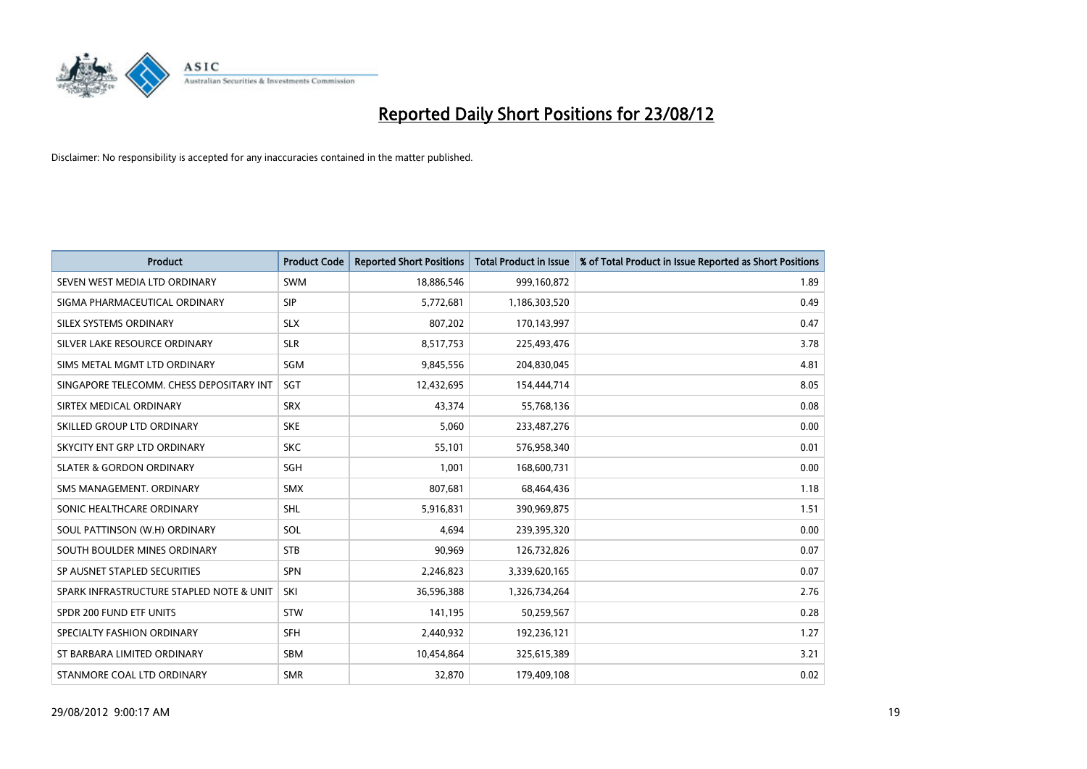

| <b>Product</b>                           | <b>Product Code</b> | <b>Reported Short Positions</b> | <b>Total Product in Issue</b> | % of Total Product in Issue Reported as Short Positions |
|------------------------------------------|---------------------|---------------------------------|-------------------------------|---------------------------------------------------------|
| SEVEN WEST MEDIA LTD ORDINARY            | <b>SWM</b>          | 18,886,546                      | 999,160,872                   | 1.89                                                    |
| SIGMA PHARMACEUTICAL ORDINARY            | <b>SIP</b>          | 5,772,681                       | 1,186,303,520                 | 0.49                                                    |
| <b>SILEX SYSTEMS ORDINARY</b>            | <b>SLX</b>          | 807,202                         | 170,143,997                   | 0.47                                                    |
| SILVER LAKE RESOURCE ORDINARY            | <b>SLR</b>          | 8,517,753                       | 225,493,476                   | 3.78                                                    |
| SIMS METAL MGMT LTD ORDINARY             | SGM                 | 9,845,556                       | 204,830,045                   | 4.81                                                    |
| SINGAPORE TELECOMM. CHESS DEPOSITARY INT | SGT                 | 12,432,695                      | 154,444,714                   | 8.05                                                    |
| SIRTEX MEDICAL ORDINARY                  | <b>SRX</b>          | 43.374                          | 55,768,136                    | 0.08                                                    |
| SKILLED GROUP LTD ORDINARY               | <b>SKE</b>          | 5,060                           | 233,487,276                   | 0.00                                                    |
| SKYCITY ENT GRP LTD ORDINARY             | <b>SKC</b>          | 55,101                          | 576,958,340                   | 0.01                                                    |
| <b>SLATER &amp; GORDON ORDINARY</b>      | <b>SGH</b>          | 1,001                           | 168,600,731                   | 0.00                                                    |
| SMS MANAGEMENT. ORDINARY                 | <b>SMX</b>          | 807,681                         | 68,464,436                    | 1.18                                                    |
| SONIC HEALTHCARE ORDINARY                | <b>SHL</b>          | 5,916,831                       | 390,969,875                   | 1.51                                                    |
| SOUL PATTINSON (W.H) ORDINARY            | SOL                 | 4,694                           | 239,395,320                   | 0.00                                                    |
| SOUTH BOULDER MINES ORDINARY             | <b>STB</b>          | 90,969                          | 126,732,826                   | 0.07                                                    |
| SP AUSNET STAPLED SECURITIES             | <b>SPN</b>          | 2,246,823                       | 3,339,620,165                 | 0.07                                                    |
| SPARK INFRASTRUCTURE STAPLED NOTE & UNIT | SKI                 | 36,596,388                      | 1,326,734,264                 | 2.76                                                    |
| SPDR 200 FUND ETF UNITS                  | <b>STW</b>          | 141,195                         | 50,259,567                    | 0.28                                                    |
| SPECIALTY FASHION ORDINARY               | <b>SFH</b>          | 2,440,932                       | 192,236,121                   | 1.27                                                    |
| ST BARBARA LIMITED ORDINARY              | SBM                 | 10,454,864                      | 325,615,389                   | 3.21                                                    |
| STANMORE COAL LTD ORDINARY               | <b>SMR</b>          | 32,870                          | 179,409,108                   | 0.02                                                    |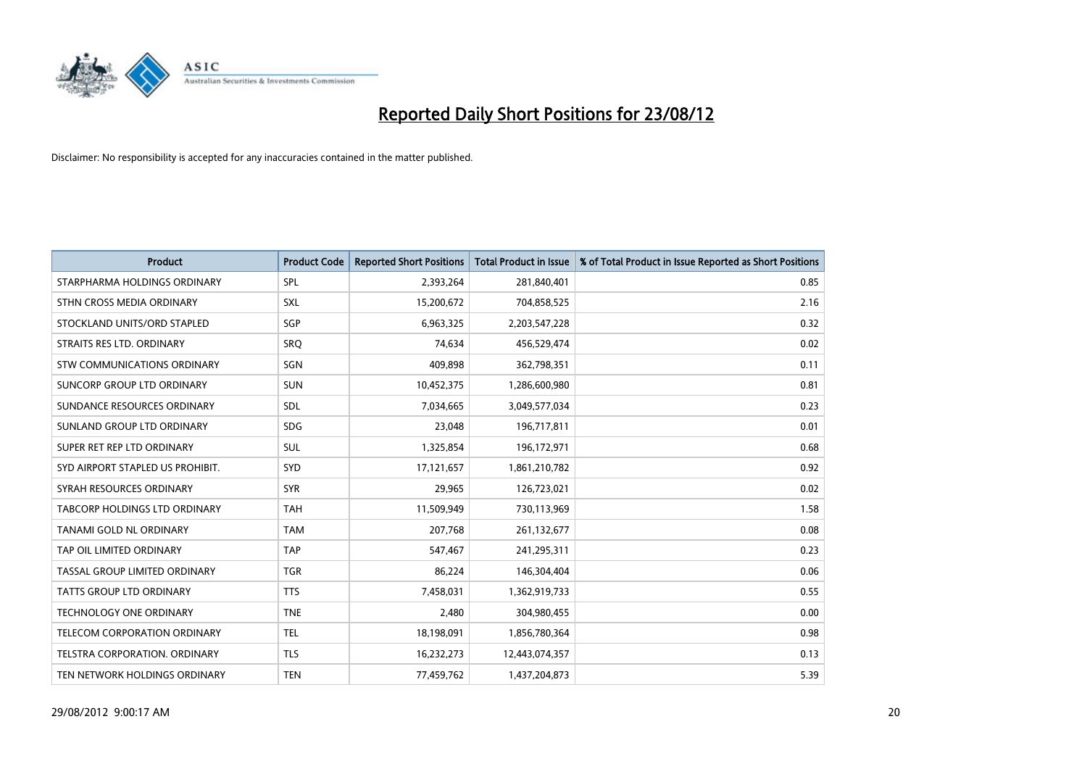

| <b>Product</b>                       | <b>Product Code</b> | <b>Reported Short Positions</b> | <b>Total Product in Issue</b> | % of Total Product in Issue Reported as Short Positions |
|--------------------------------------|---------------------|---------------------------------|-------------------------------|---------------------------------------------------------|
| STARPHARMA HOLDINGS ORDINARY         | SPL                 | 2,393,264                       | 281,840,401                   | 0.85                                                    |
| STHN CROSS MEDIA ORDINARY            | <b>SXL</b>          | 15,200,672                      | 704,858,525                   | 2.16                                                    |
| STOCKLAND UNITS/ORD STAPLED          | SGP                 | 6,963,325                       | 2,203,547,228                 | 0.32                                                    |
| STRAITS RES LTD. ORDINARY            | SRQ                 | 74,634                          | 456,529,474                   | 0.02                                                    |
| STW COMMUNICATIONS ORDINARY          | SGN                 | 409,898                         | 362,798,351                   | 0.11                                                    |
| SUNCORP GROUP LTD ORDINARY           | <b>SUN</b>          | 10,452,375                      | 1,286,600,980                 | 0.81                                                    |
| SUNDANCE RESOURCES ORDINARY          | <b>SDL</b>          | 7,034,665                       | 3,049,577,034                 | 0.23                                                    |
| SUNLAND GROUP LTD ORDINARY           | <b>SDG</b>          | 23,048                          | 196,717,811                   | 0.01                                                    |
| SUPER RET REP LTD ORDINARY           | <b>SUL</b>          | 1,325,854                       | 196, 172, 971                 | 0.68                                                    |
| SYD AIRPORT STAPLED US PROHIBIT.     | <b>SYD</b>          | 17,121,657                      | 1,861,210,782                 | 0.92                                                    |
| SYRAH RESOURCES ORDINARY             | <b>SYR</b>          | 29,965                          | 126,723,021                   | 0.02                                                    |
| <b>TABCORP HOLDINGS LTD ORDINARY</b> | <b>TAH</b>          | 11,509,949                      | 730,113,969                   | 1.58                                                    |
| TANAMI GOLD NL ORDINARY              | <b>TAM</b>          | 207,768                         | 261,132,677                   | 0.08                                                    |
| TAP OIL LIMITED ORDINARY             | <b>TAP</b>          | 547,467                         | 241,295,311                   | 0.23                                                    |
| TASSAL GROUP LIMITED ORDINARY        | <b>TGR</b>          | 86,224                          | 146,304,404                   | 0.06                                                    |
| TATTS GROUP LTD ORDINARY             | <b>TTS</b>          | 7,458,031                       | 1,362,919,733                 | 0.55                                                    |
| TECHNOLOGY ONE ORDINARY              | <b>TNE</b>          | 2,480                           | 304,980,455                   | 0.00                                                    |
| TELECOM CORPORATION ORDINARY         | <b>TEL</b>          | 18,198,091                      | 1,856,780,364                 | 0.98                                                    |
| <b>TELSTRA CORPORATION, ORDINARY</b> | <b>TLS</b>          | 16,232,273                      | 12,443,074,357                | 0.13                                                    |
| TEN NETWORK HOLDINGS ORDINARY        | <b>TEN</b>          | 77,459,762                      | 1,437,204,873                 | 5.39                                                    |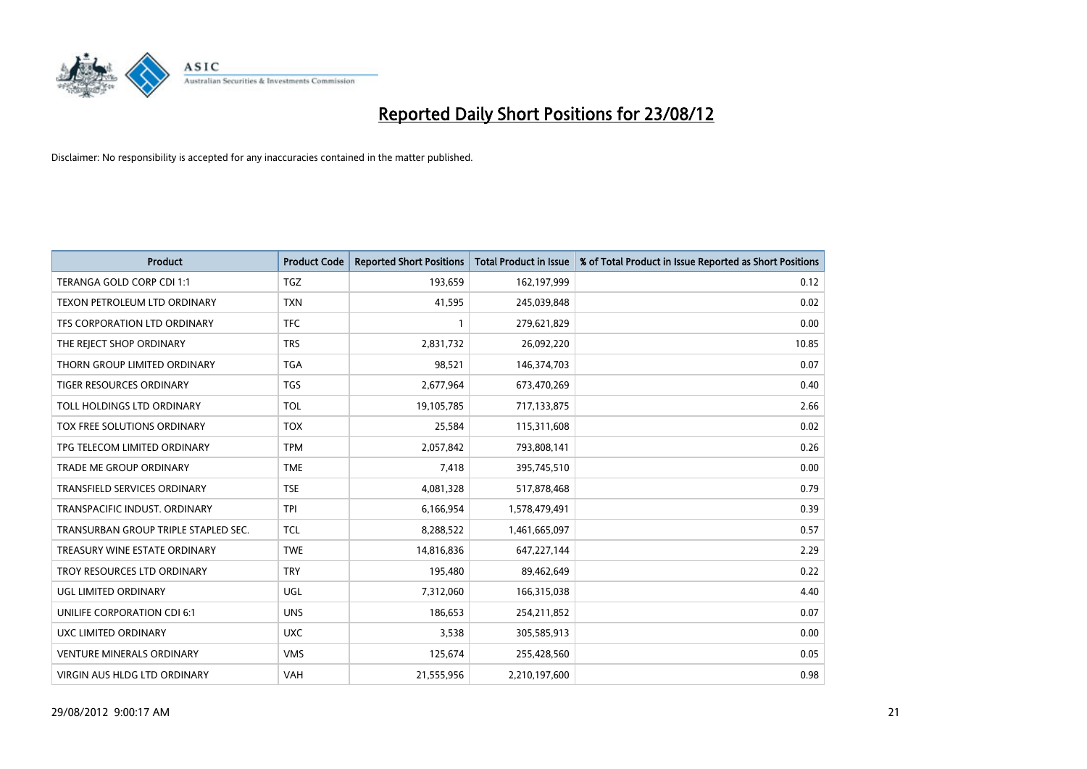

| <b>Product</b>                       | <b>Product Code</b> | <b>Reported Short Positions</b> | <b>Total Product in Issue</b> | % of Total Product in Issue Reported as Short Positions |
|--------------------------------------|---------------------|---------------------------------|-------------------------------|---------------------------------------------------------|
| TERANGA GOLD CORP CDI 1:1            | <b>TGZ</b>          | 193,659                         | 162,197,999                   | 0.12                                                    |
| TEXON PETROLEUM LTD ORDINARY         | <b>TXN</b>          | 41,595                          | 245,039,848                   | 0.02                                                    |
| TFS CORPORATION LTD ORDINARY         | <b>TFC</b>          |                                 | 279,621,829                   | 0.00                                                    |
| THE REJECT SHOP ORDINARY             | <b>TRS</b>          | 2,831,732                       | 26,092,220                    | 10.85                                                   |
| THORN GROUP LIMITED ORDINARY         | <b>TGA</b>          | 98,521                          | 146,374,703                   | 0.07                                                    |
| TIGER RESOURCES ORDINARY             | <b>TGS</b>          | 2,677,964                       | 673,470,269                   | 0.40                                                    |
| TOLL HOLDINGS LTD ORDINARY           | <b>TOL</b>          | 19,105,785                      | 717,133,875                   | 2.66                                                    |
| TOX FREE SOLUTIONS ORDINARY          | <b>TOX</b>          | 25,584                          | 115,311,608                   | 0.02                                                    |
| TPG TELECOM LIMITED ORDINARY         | <b>TPM</b>          | 2,057,842                       | 793,808,141                   | 0.26                                                    |
| <b>TRADE ME GROUP ORDINARY</b>       | <b>TME</b>          | 7,418                           | 395,745,510                   | 0.00                                                    |
| TRANSFIELD SERVICES ORDINARY         | <b>TSE</b>          | 4,081,328                       | 517,878,468                   | 0.79                                                    |
| TRANSPACIFIC INDUST, ORDINARY        | <b>TPI</b>          | 6,166,954                       | 1,578,479,491                 | 0.39                                                    |
| TRANSURBAN GROUP TRIPLE STAPLED SEC. | <b>TCL</b>          | 8,288,522                       | 1,461,665,097                 | 0.57                                                    |
| TREASURY WINE ESTATE ORDINARY        | <b>TWE</b>          | 14,816,836                      | 647,227,144                   | 2.29                                                    |
| TROY RESOURCES LTD ORDINARY          | <b>TRY</b>          | 195,480                         | 89,462,649                    | 0.22                                                    |
| UGL LIMITED ORDINARY                 | UGL                 | 7,312,060                       | 166,315,038                   | 4.40                                                    |
| UNILIFE CORPORATION CDI 6:1          | <b>UNS</b>          | 186,653                         | 254,211,852                   | 0.07                                                    |
| UXC LIMITED ORDINARY                 | <b>UXC</b>          | 3,538                           | 305,585,913                   | 0.00                                                    |
| <b>VENTURE MINERALS ORDINARY</b>     | <b>VMS</b>          | 125,674                         | 255,428,560                   | 0.05                                                    |
| <b>VIRGIN AUS HLDG LTD ORDINARY</b>  | <b>VAH</b>          | 21,555,956                      | 2,210,197,600                 | 0.98                                                    |